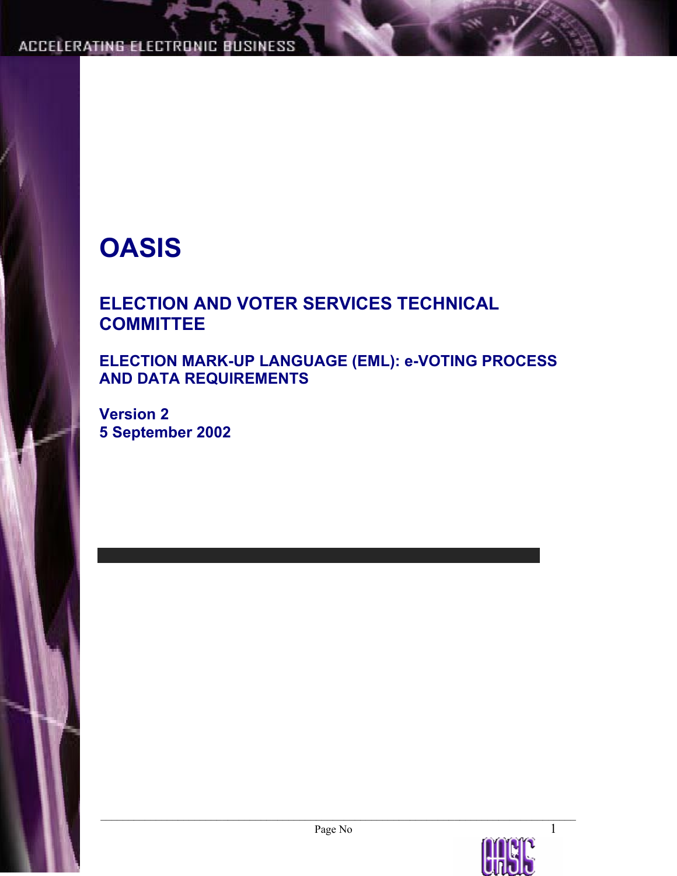# **OASIS**

**ELECTION AND VOTER SERVICES TECHNICAL COMMITTEE** 

**ELECTION MARK-UP LANGUAGE (EML): e-VOTING PROCESS AND DATA REQUIREMENTS** 

**Version 2 5 September 2002** 

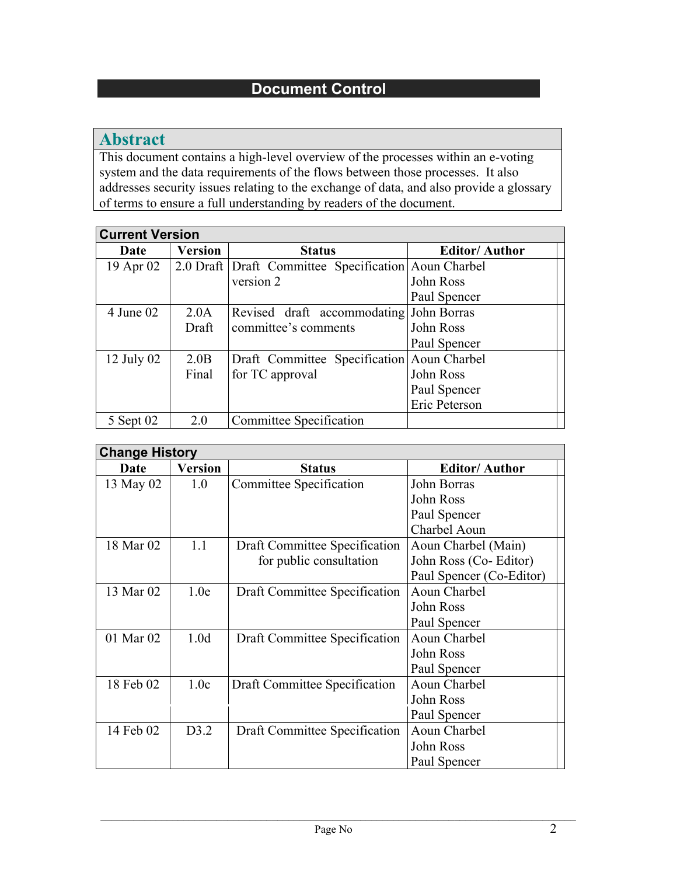## **Document Control**

## **Abstract**

This document contains a high-level overview of the processes within an e-voting system and the data requirements of the flows between those processes. It also addresses security issues relating to the exchange of data, and also provide a glossary of terms to ensure a full understanding by readers of the document.

|              | <b>Current Version</b> |                                                          |                      |  |
|--------------|------------------------|----------------------------------------------------------|----------------------|--|
| Date         | <b>Version</b>         | <b>Status</b>                                            | <b>Editor/Author</b> |  |
| 19 Apr 02    |                        | 2.0 Draft   Draft Committee Specification   Aoun Charbel |                      |  |
|              |                        | version 2                                                | John Ross            |  |
|              |                        |                                                          | Paul Spencer         |  |
| $4$ June 02  | 2.0A                   | Revised draft accommodating John Borras                  |                      |  |
|              | Draft                  | committee's comments                                     | John Ross            |  |
|              |                        |                                                          | Paul Spencer         |  |
| $12$ July 02 | 2.0B                   | Draft Committee Specification   Aoun Charbel             |                      |  |
|              | Final                  | for TC approval                                          | John Ross            |  |
|              |                        |                                                          | Paul Spencer         |  |
|              |                        |                                                          | Eric Peterson        |  |
| 5 Sept 02    | 2.0                    | Committee Specification                                  |                      |  |

| <b>Change History</b> |                |                               |                          |  |
|-----------------------|----------------|-------------------------------|--------------------------|--|
| Date                  | <b>Version</b> | <b>Status</b>                 | <b>Editor/Author</b>     |  |
| 13 May 02             | 1.0            | Committee Specification       | John Borras              |  |
|                       |                |                               | John Ross                |  |
|                       |                |                               | Paul Spencer             |  |
|                       |                |                               | Charbel Aoun             |  |
| 18 Mar 02             | 1.1            | Draft Committee Specification | Aoun Charbel (Main)      |  |
|                       |                | for public consultation       | John Ross (Co-Editor)    |  |
|                       |                |                               | Paul Spencer (Co-Editor) |  |
| 13 Mar 02             | 1.0e           | Draft Committee Specification | Aoun Charbel             |  |
|                       |                |                               | John Ross                |  |
|                       |                |                               | Paul Spencer             |  |
| 01 Mar 02             | 1.0d           | Draft Committee Specification | Aoun Charbel             |  |
|                       |                |                               | John Ross                |  |
|                       |                |                               | Paul Spencer             |  |
| 18 Feb 02             | 1.0c           | Draft Committee Specification | Aoun Charbel             |  |
|                       |                |                               | John Ross                |  |
|                       |                |                               | Paul Spencer             |  |
| 14 Feb 02             | D3.2           | Draft Committee Specification | Aoun Charbel             |  |
|                       |                |                               | John Ross                |  |
|                       |                |                               | Paul Spencer             |  |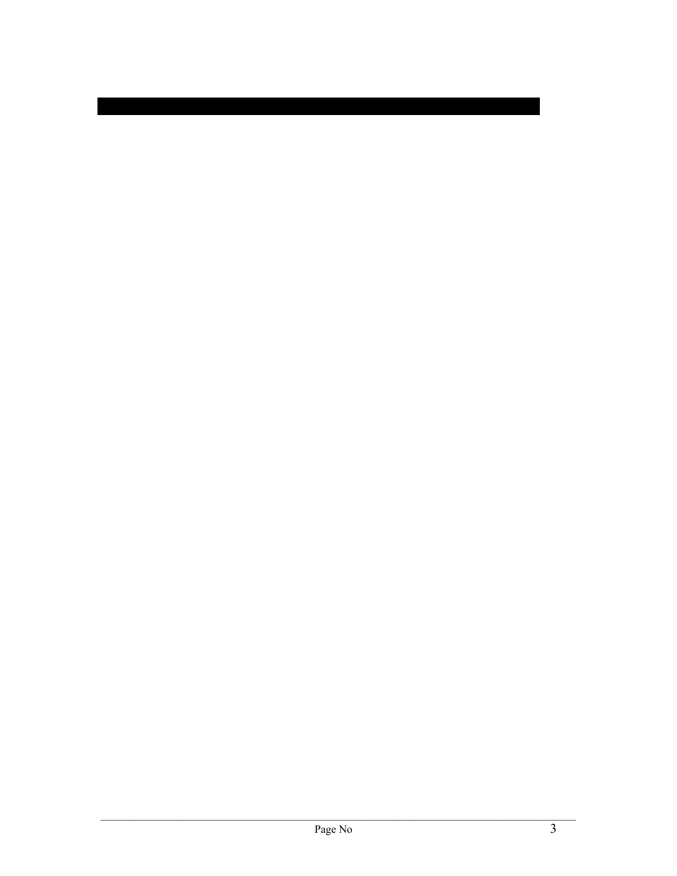Page No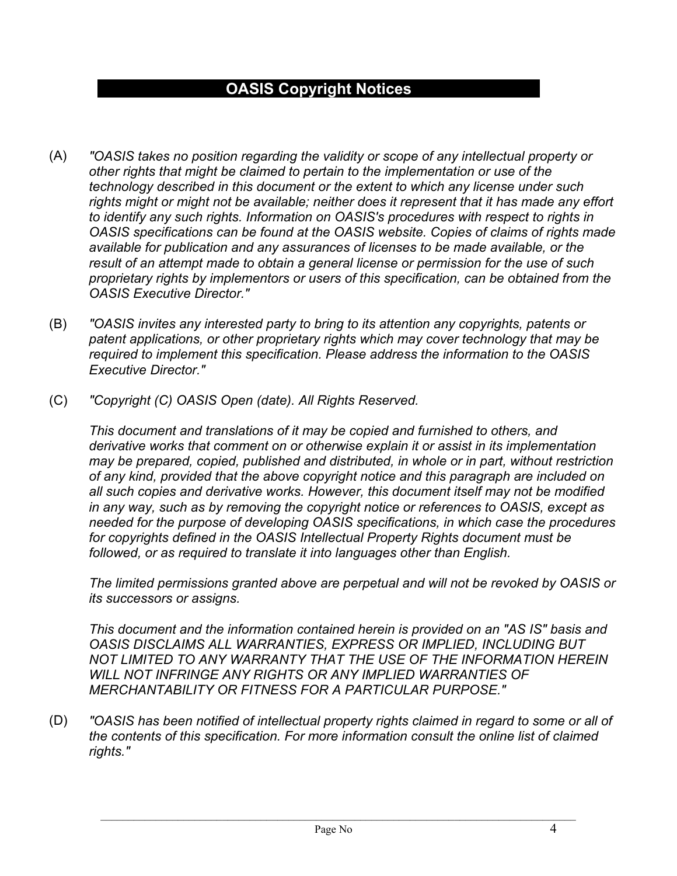## **OASIS Copyright Notices**

- (A) *"OASIS takes no position regarding the validity or scope of any intellectual property or other rights that might be claimed to pertain to the implementation or use of the technology described in this document or the extent to which any license under such rights might or might not be available; neither does it represent that it has made any effort to identify any such rights. Information on OASIS's procedures with respect to rights in OASIS specifications can be found at the OASIS website. Copies of claims of rights made available for publication and any assurances of licenses to be made available, or the result of an attempt made to obtain a general license or permission for the use of such proprietary rights by implementors or users of this specification, can be obtained from the OASIS Executive Director."*
- (B) *"OASIS invites any interested party to bring to its attention any copyrights, patents or patent applications, or other proprietary rights which may cover technology that may be required to implement this specification. Please address the information to the OASIS Executive Director."*
- (C) *"Copyright (C) OASIS Open (date). All Rights Reserved.*

*This document and translations of it may be copied and furnished to others, and derivative works that comment on or otherwise explain it or assist in its implementation may be prepared, copied, published and distributed, in whole or in part, without restriction of any kind, provided that the above copyright notice and this paragraph are included on all such copies and derivative works. However, this document itself may not be modified in any way, such as by removing the copyright notice or references to OASIS, except as needed for the purpose of developing OASIS specifications, in which case the procedures for copyrights defined in the OASIS Intellectual Property Rights document must be followed, or as required to translate it into languages other than English.* 

*The limited permissions granted above are perpetual and will not be revoked by OASIS or its successors or assigns.* 

*This document and the information contained herein is provided on an "AS IS" basis and OASIS DISCLAIMS ALL WARRANTIES, EXPRESS OR IMPLIED, INCLUDING BUT NOT LIMITED TO ANY WARRANTY THAT THE USE OF THE INFORMATION HEREIN WILL NOT INFRINGE ANY RIGHTS OR ANY IMPLIED WARRANTIES OF MERCHANTABILITY OR FITNESS FOR A PARTICULAR PURPOSE."* 

(D) *"OASIS has been notified of intellectual property rights claimed in regard to some or all of the contents of this specification. For more information consult the online list of claimed rights."*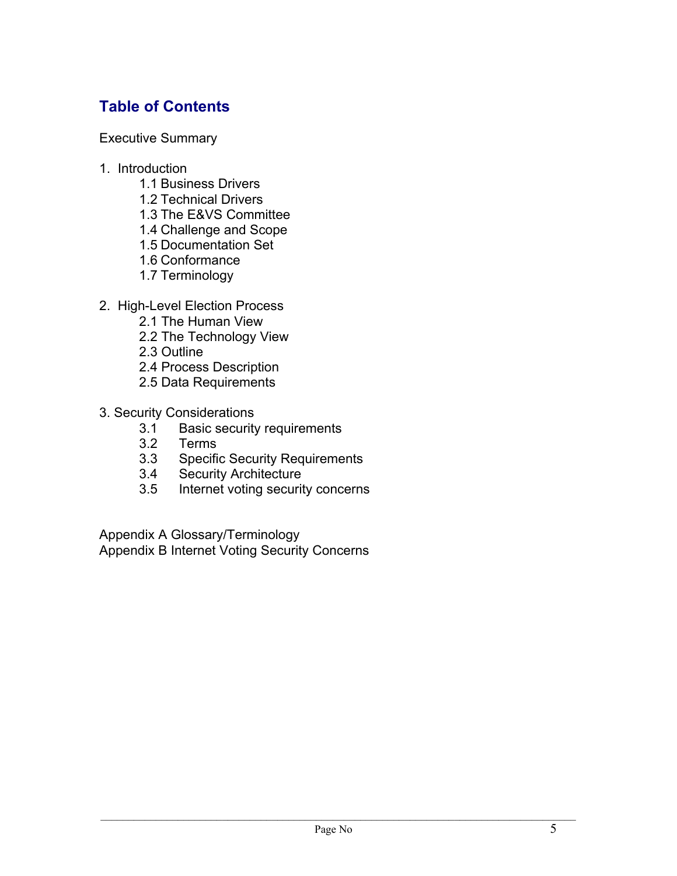## **Table of Contents**

Executive Summary

- 1. Introduction
	- 1.1 Business Drivers
	- 1.2 Technical Drivers
	- 1.3 The E&VS Committee
	- 1.4 Challenge and Scope
	- 1.5 Documentation Set
	- 1.6 Conformance
	- 1.7 Terminology
- 2. High-Level Election Process
	- 2.1 The Human View
	- 2.2 The Technology View
	- 2.3 Outline
	- 2.4 Process Description
	- 2.5 Data Requirements
- 3. Security Considerations
	- 3.1 Basic security requirements
	- 3.2 Terms<br>3.3 Specifi
	- Specific Security Requirements
	- 3.4 Security Architecture
	- 3.5 Internet voting security concerns

Appendix A Glossary/Terminology Appendix B Internet Voting Security Concerns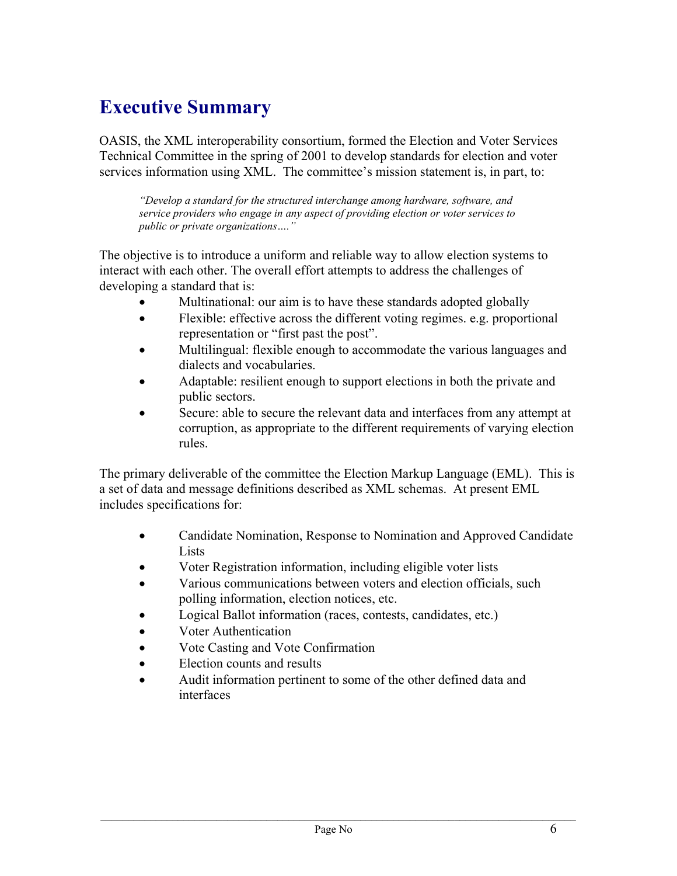## **Executive Summary**

OASIS, the XML interoperability consortium, formed the Election and Voter Services Technical Committee in the spring of 2001 to develop standards for election and voter services information using XML. The committee's mission statement is, in part, to:

*"Develop a standard for the structured interchange among hardware, software, and service providers who engage in any aspect of providing election or voter services to public or private organizations…."* 

The objective is to introduce a uniform and reliable way to allow election systems to interact with each other. The overall effort attempts to address the challenges of developing a standard that is:

- Multinational: our aim is to have these standards adopted globally
- Flexible: effective across the different voting regimes. e.g. proportional representation or "first past the post".
- Multilingual: flexible enough to accommodate the various languages and dialects and vocabularies.
- Adaptable: resilient enough to support elections in both the private and public sectors.
- Secure: able to secure the relevant data and interfaces from any attempt at corruption, as appropriate to the different requirements of varying election rules.

The primary deliverable of the committee the Election Markup Language (EML). This is a set of data and message definitions described as XML schemas. At present EML includes specifications for:

- Candidate Nomination, Response to Nomination and Approved Candidate Lists
- Voter Registration information, including eligible voter lists
- Various communications between voters and election officials, such polling information, election notices, etc.
- Logical Ballot information (races, contests, candidates, etc.)
- Voter Authentication
- Vote Casting and Vote Confirmation
- Election counts and results
- Audit information pertinent to some of the other defined data and interfaces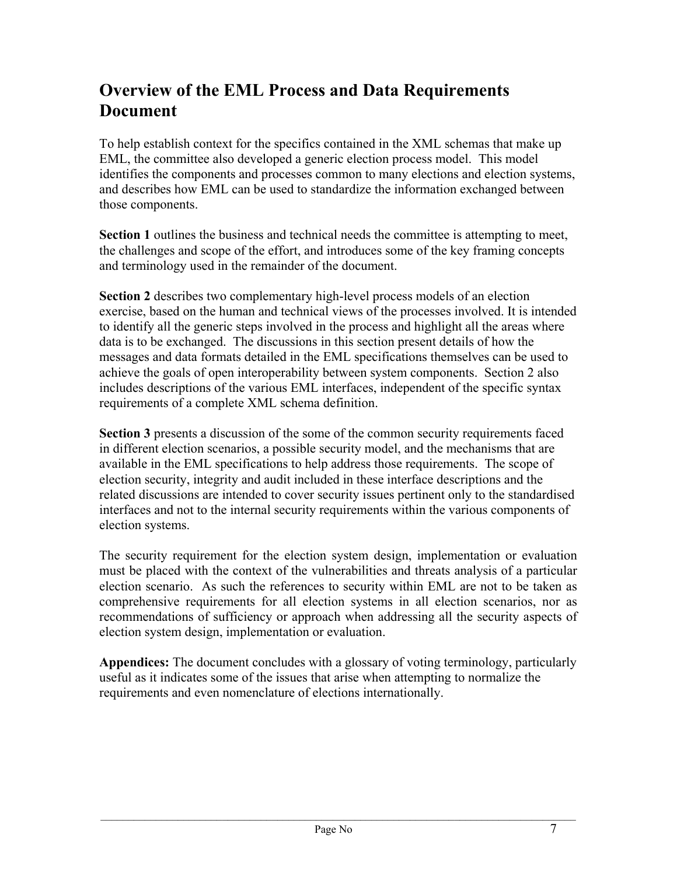## **Overview of the EML Process and Data Requirements Document**

To help establish context for the specifics contained in the XML schemas that make up EML, the committee also developed a generic election process model. This model identifies the components and processes common to many elections and election systems, and describes how EML can be used to standardize the information exchanged between those components.

**Section 1** outlines the business and technical needs the committee is attempting to meet, the challenges and scope of the effort, and introduces some of the key framing concepts and terminology used in the remainder of the document.

**Section 2** describes two complementary high-level process models of an election exercise, based on the human and technical views of the processes involved. It is intended to identify all the generic steps involved in the process and highlight all the areas where data is to be exchanged. The discussions in this section present details of how the messages and data formats detailed in the EML specifications themselves can be used to achieve the goals of open interoperability between system components. Section 2 also includes descriptions of the various EML interfaces, independent of the specific syntax requirements of a complete XML schema definition.

**Section 3** presents a discussion of the some of the common security requirements faced in different election scenarios, a possible security model, and the mechanisms that are available in the EML specifications to help address those requirements. The scope of election security, integrity and audit included in these interface descriptions and the related discussions are intended to cover security issues pertinent only to the standardised interfaces and not to the internal security requirements within the various components of election systems.

The security requirement for the election system design, implementation or evaluation must be placed with the context of the vulnerabilities and threats analysis of a particular election scenario. As such the references to security within EML are not to be taken as comprehensive requirements for all election systems in all election scenarios, nor as recommendations of sufficiency or approach when addressing all the security aspects of election system design, implementation or evaluation.

**Appendices:** The document concludes with a glossary of voting terminology, particularly useful as it indicates some of the issues that arise when attempting to normalize the requirements and even nomenclature of elections internationally.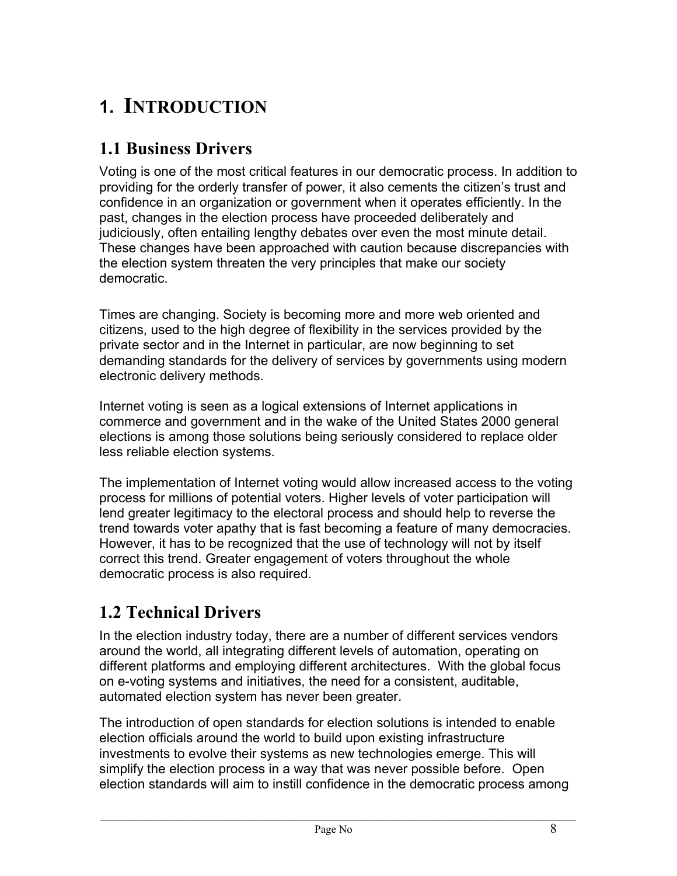## **1. INTRODUCTION**

## **1.1 Business Drivers**

Voting is one of the most critical features in our democratic process. In addition to providing for the orderly transfer of power, it also cements the citizen's trust and confidence in an organization or government when it operates efficiently. In the past, changes in the election process have proceeded deliberately and judiciously, often entailing lengthy debates over even the most minute detail. These changes have been approached with caution because discrepancies with the election system threaten the very principles that make our society democratic.

Times are changing. Society is becoming more and more web oriented and citizens, used to the high degree of flexibility in the services provided by the private sector and in the Internet in particular, are now beginning to set demanding standards for the delivery of services by governments using modern electronic delivery methods.

Internet voting is seen as a logical extensions of Internet applications in commerce and government and in the wake of the United States 2000 general elections is among those solutions being seriously considered to replace older less reliable election systems.

The implementation of Internet voting would allow increased access to the voting process for millions of potential voters. Higher levels of voter participation will lend greater legitimacy to the electoral process and should help to reverse the trend towards voter apathy that is fast becoming a feature of many democracies. However, it has to be recognized that the use of technology will not by itself correct this trend. Greater engagement of voters throughout the whole democratic process is also required.

## **1.2 Technical Drivers**

In the election industry today, there are a number of different services vendors around the world, all integrating different levels of automation, operating on different platforms and employing different architectures. With the global focus on e-voting systems and initiatives, the need for a consistent, auditable, automated election system has never been greater.

The introduction of open standards for election solutions is intended to enable election officials around the world to build upon existing infrastructure investments to evolve their systems as new technologies emerge. This will simplify the election process in a way that was never possible before. Open election standards will aim to instill confidence in the democratic process among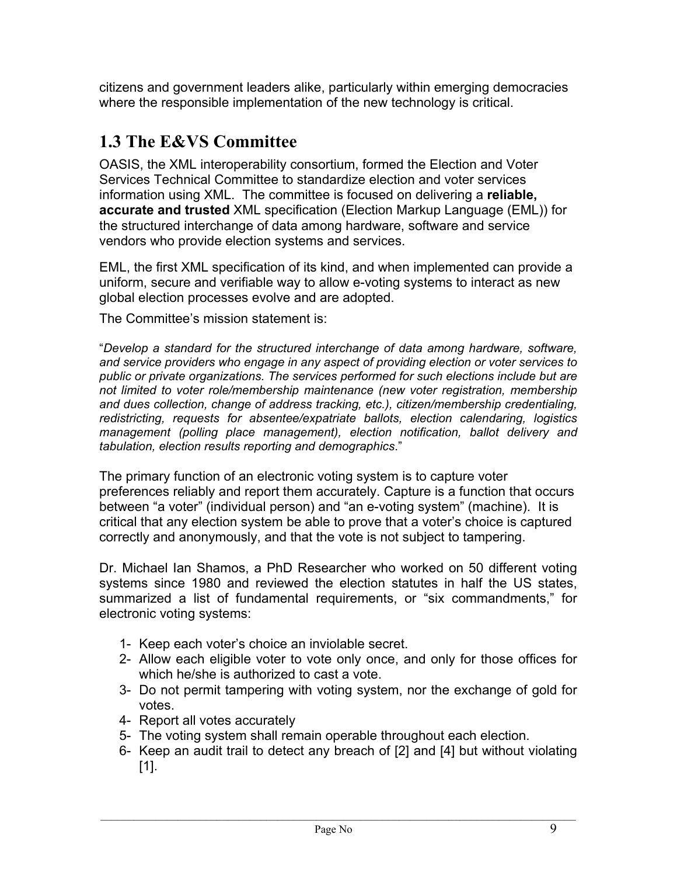citizens and government leaders alike, particularly within emerging democracies where the responsible implementation of the new technology is critical.

## **1.3 The E&VS Committee**

OASIS, the XML interoperability consortium, formed the Election and Voter Services Technical Committee to standardize election and voter services information using XML. The committee is focused on delivering a **reliable, accurate and trusted** XML specification (Election Markup Language (EML)) for the structured interchange of data among hardware, software and service vendors who provide election systems and services.

EML, the first XML specification of its kind, and when implemented can provide a uniform, secure and verifiable way to allow e-voting systems to interact as new global election processes evolve and are adopted.

The Committee's mission statement is:

"*Develop a standard for the structured interchange of data among hardware, software, and service providers who engage in any aspect of providing election or voter services to public or private organizations. The services performed for such elections include but are not limited to voter role/membership maintenance (new voter registration, membership and dues collection, change of address tracking, etc.), citizen/membership credentialing, redistricting, requests for absentee/expatriate ballots, election calendaring, logistics management (polling place management), election notification, ballot delivery and tabulation, election results reporting and demographics*."

The primary function of an electronic voting system is to capture voter preferences reliably and report them accurately. Capture is a function that occurs between "a voter" (individual person) and "an e-voting system" (machine). It is critical that any election system be able to prove that a voter's choice is captured correctly and anonymously, and that the vote is not subject to tampering.

Dr. Michael Ian Shamos, a PhD Researcher who worked on 50 different voting systems since 1980 and reviewed the election statutes in half the US states, summarized a list of fundamental requirements, or "six commandments," for electronic voting systems:

- 1- Keep each voter's choice an inviolable secret.
- 2- Allow each eligible voter to vote only once, and only for those offices for which he/she is authorized to cast a vote.
- 3- Do not permit tampering with voting system, nor the exchange of gold for votes.
- 4- Report all votes accurately
- 5- The voting system shall remain operable throughout each election.
- 6- Keep an audit trail to detect any breach of [2] and [4] but without violating [1].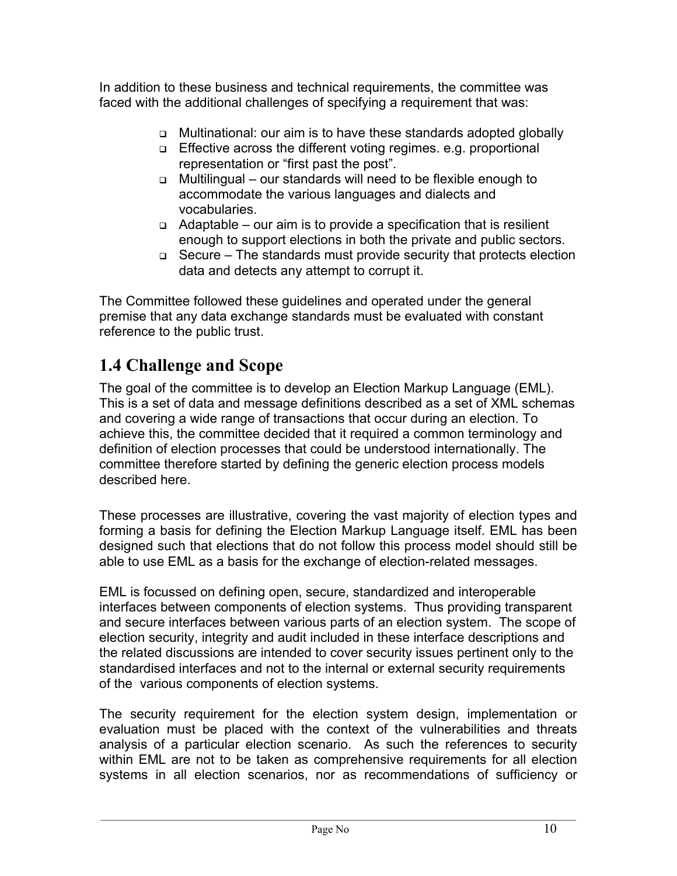In addition to these business and technical requirements, the committee was faced with the additional challenges of specifying a requirement that was:

- Multinational: our aim is to have these standards adopted globally
- Effective across the different voting regimes. e.g. proportional representation or "first past the post".
- $\Box$  Multilingual our standards will need to be flexible enough to accommodate the various languages and dialects and vocabularies.
- $\Box$  Adaptable our aim is to provide a specification that is resilient enough to support elections in both the private and public sectors.
- $\Box$  Secure The standards must provide security that protects election data and detects any attempt to corrupt it.

The Committee followed these guidelines and operated under the general premise that any data exchange standards must be evaluated with constant reference to the public trust.

## **1.4 Challenge and Scope**

The goal of the committee is to develop an Election Markup Language (EML). This is a set of data and message definitions described as a set of XML schemas and covering a wide range of transactions that occur during an election. To achieve this, the committee decided that it required a common terminology and definition of election processes that could be understood internationally. The committee therefore started by defining the generic election process models described here.

These processes are illustrative, covering the vast majority of election types and forming a basis for defining the Election Markup Language itself. EML has been designed such that elections that do not follow this process model should still be able to use EML as a basis for the exchange of election-related messages.

EML is focussed on defining open, secure, standardized and interoperable interfaces between components of election systems. Thus providing transparent and secure interfaces between various parts of an election system. The scope of election security, integrity and audit included in these interface descriptions and the related discussions are intended to cover security issues pertinent only to the standardised interfaces and not to the internal or external security requirements of the various components of election systems.

The security requirement for the election system design, implementation or evaluation must be placed with the context of the vulnerabilities and threats analysis of a particular election scenario. As such the references to security within EML are not to be taken as comprehensive requirements for all election systems in all election scenarios, nor as recommendations of sufficiency or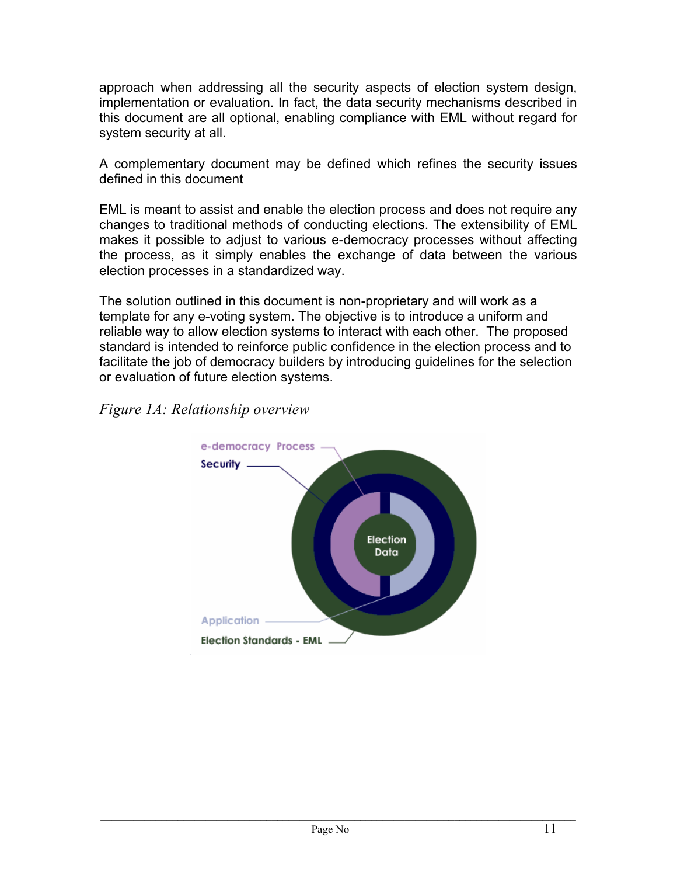approach when addressing all the security aspects of election system design, implementation or evaluation. In fact, the data security mechanisms described in this document are all optional, enabling compliance with EML without regard for system security at all.

A complementary document may be defined which refines the security issues defined in this document

EML is meant to assist and enable the election process and does not require any changes to traditional methods of conducting elections. The extensibility of EML makes it possible to adjust to various e-democracy processes without affecting the process, as it simply enables the exchange of data between the various election processes in a standardized way.

The solution outlined in this document is non-proprietary and will work as a template for any e-voting system. The objective is to introduce a uniform and reliable way to allow election systems to interact with each other. The proposed standard is intended to reinforce public confidence in the election process and to facilitate the job of democracy builders by introducing guidelines for the selection or evaluation of future election systems.



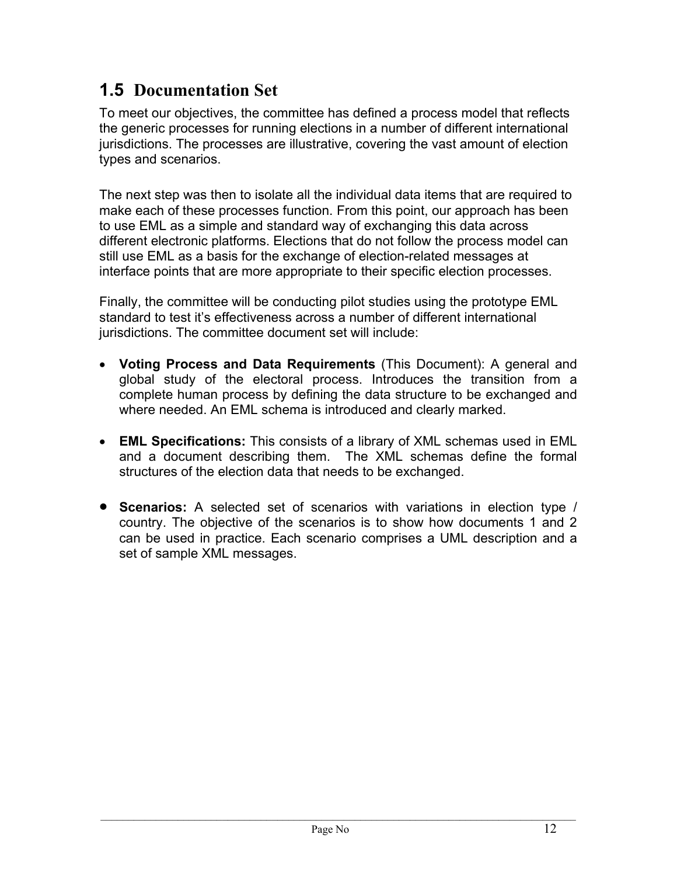## **1.5 Documentation Set**

To meet our objectives, the committee has defined a process model that reflects the generic processes for running elections in a number of different international jurisdictions. The processes are illustrative, covering the vast amount of election types and scenarios.

The next step was then to isolate all the individual data items that are required to make each of these processes function. From this point, our approach has been to use EML as a simple and standard way of exchanging this data across different electronic platforms. Elections that do not follow the process model can still use EML as a basis for the exchange of election-related messages at interface points that are more appropriate to their specific election processes.

Finally, the committee will be conducting pilot studies using the prototype EML standard to test it's effectiveness across a number of different international jurisdictions. The committee document set will include:

- **Voting Process and Data Requirements** (This Document): A general and global study of the electoral process. Introduces the transition from a complete human process by defining the data structure to be exchanged and where needed. An EML schema is introduced and clearly marked.
- **EML Specifications:** This consists of a library of XML schemas used in EML and a document describing them. The XML schemas define the formal structures of the election data that needs to be exchanged.
- **Scenarios:** A selected set of scenarios with variations in election type / country. The objective of the scenarios is to show how documents 1 and 2 can be used in practice. Each scenario comprises a UML description and a set of sample XML messages.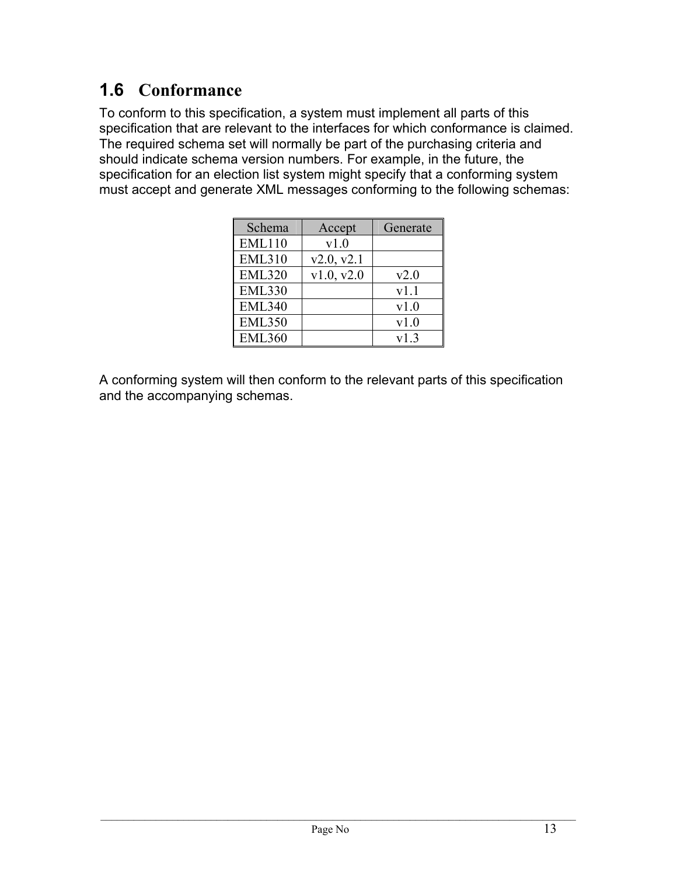## **1.6 Conformance**

To conform to this specification, a system must implement all parts of this specification that are relevant to the interfaces for which conformance is claimed. The required schema set will normally be part of the purchasing criteria and should indicate schema version numbers. For example, in the future, the specification for an election list system might specify that a conforming system must accept and generate XML messages conforming to the following schemas:

| Schema        | Accept     | Generate |
|---------------|------------|----------|
| <b>EML110</b> | v1.0       |          |
| <b>EML310</b> | v2.0, v2.1 |          |
| <b>EML320</b> | v1.0, v2.0 | v2.0     |
| <b>EML330</b> |            | v1.1     |
| <b>EML340</b> |            | v1.0     |
| <b>EML350</b> |            | v1.0     |
| <b>EML360</b> |            | v1.3     |

A conforming system will then conform to the relevant parts of this specification and the accompanying schemas.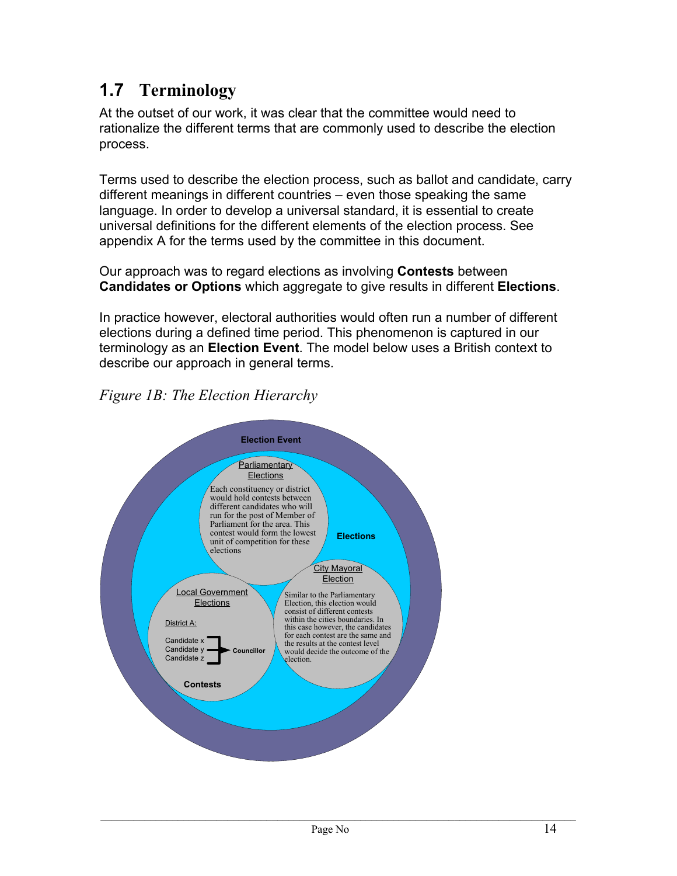## **1.7 Terminology**

At the outset of our work, it was clear that the committee would need to rationalize the different terms that are commonly used to describe the election process.

Terms used to describe the election process, such as ballot and candidate, carry different meanings in different countries – even those speaking the same language. In order to develop a universal standard, it is essential to create universal definitions for the different elements of the election process. See appendix A for the terms used by the committee in this document.

Our approach was to regard elections as involving **Contests** between **Candidates or Options** which aggregate to give results in different **Elections**.

In practice however, electoral authorities would often run a number of different elections during a defined time period. This phenomenon is captured in our terminology as an **Election Event**. The model below uses a British context to describe our approach in general terms.



*Figure 1B: The Election Hierarchy*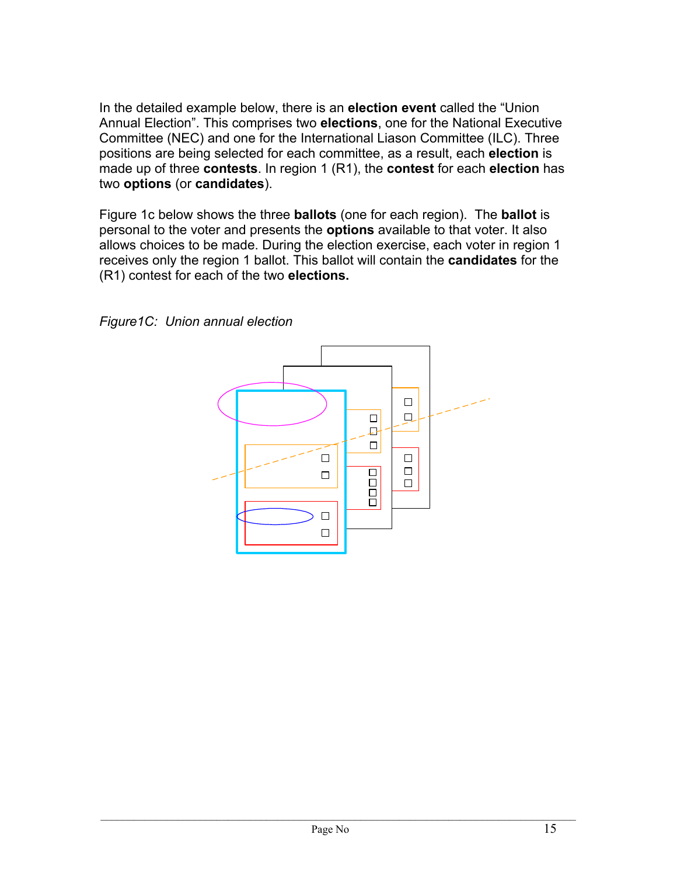In the detailed example below, there is an **election event** called the "Union Annual Election". This comprises two **elections**, one for the National Executive Committee (NEC) and one for the International Liason Committee (ILC). Three positions are being selected for each committee, as a result, each **election** is made up of three **contests**. In region 1 (R1), the **contest** for each **election** has two **options** (or **candidates**).

Figure 1c below shows the three **ballots** (one for each region). The **ballot** is personal to the voter and presents the **options** available to that voter. It also allows choices to be made. During the election exercise, each voter in region 1 receives only the region 1 ballot. This ballot will contain the **candidates** for the (R1) contest for each of the two **elections.** 

 $\Box$  $\Box$  $\Box$ 머  $\Box$  $\Box$  $\Box$  $\Box$  $\Box$  $\Box$  $\Box$  $\Box$  $\Box$ 

*Figure1C: Union annual election*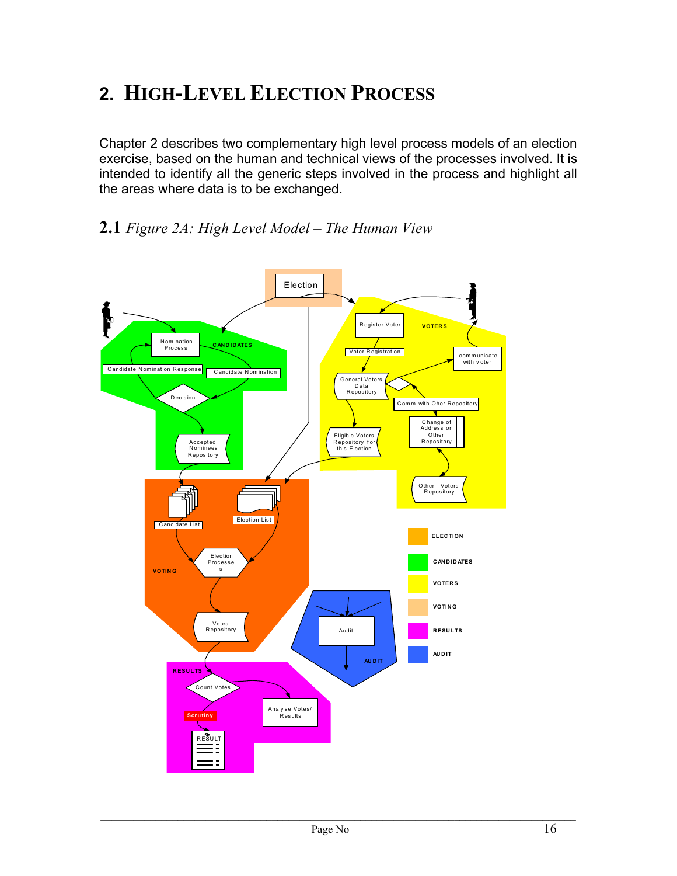## **2. HIGH-LEVEL ELECTION PROCESS**

Chapter 2 describes two complementary high level process models of an election exercise, based on the human and technical views of the processes involved. It is intended to identify all the generic steps involved in the process and highlight all the areas where data is to be exchanged.

#### **C AN D ID ATES VOTERS** Candidate Nomination Response Candidate Nomination Nom ination Process Decision Accepted Nominees Repository Candidate List Register Voter com m unicate with v oter Voter Registration General Voters Data Repository Other - Voters Repository Comm with Oher Repository **Election List** Eligible Voters Repository f or this Election Change of Address or Other R epository Election Processe s Votes Repository Count Votes RESULT Analy se Votes/ Results **VOTIN G RESULTS** Election **C AN D ID ATES VOTER S VOTIN G R ESULTS AU D IT ELECTION** Audit **AU D IT Scrutiny**

## **2.1** *Figure 2A: High Level Model – The Human View*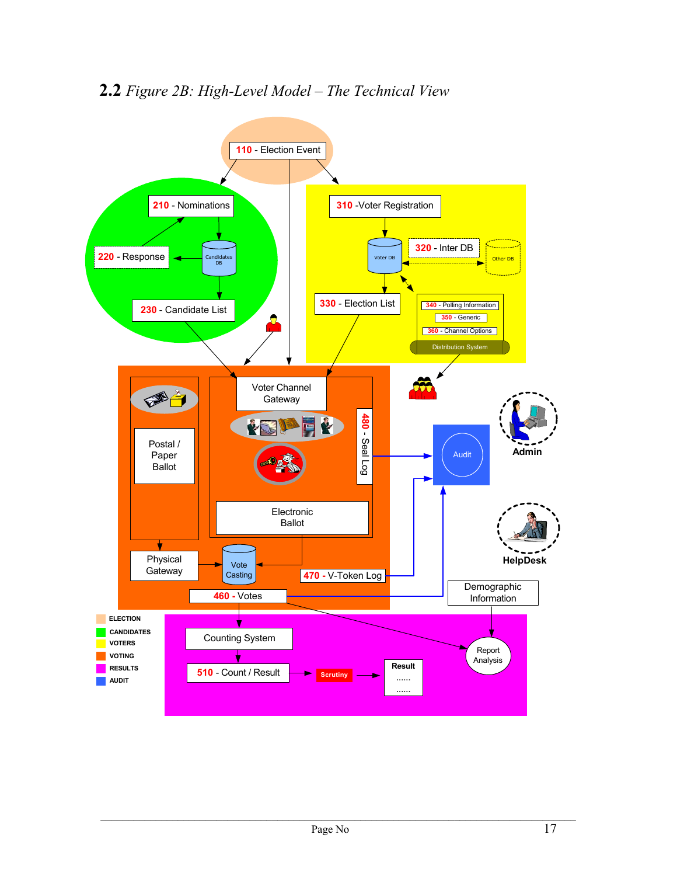## **2.2** *Figure 2B: High-Level Model – The Technical View*



 $\_$  , and the set of the set of the set of the set of the set of the set of the set of the set of the set of the set of the set of the set of the set of the set of the set of the set of the set of the set of the set of th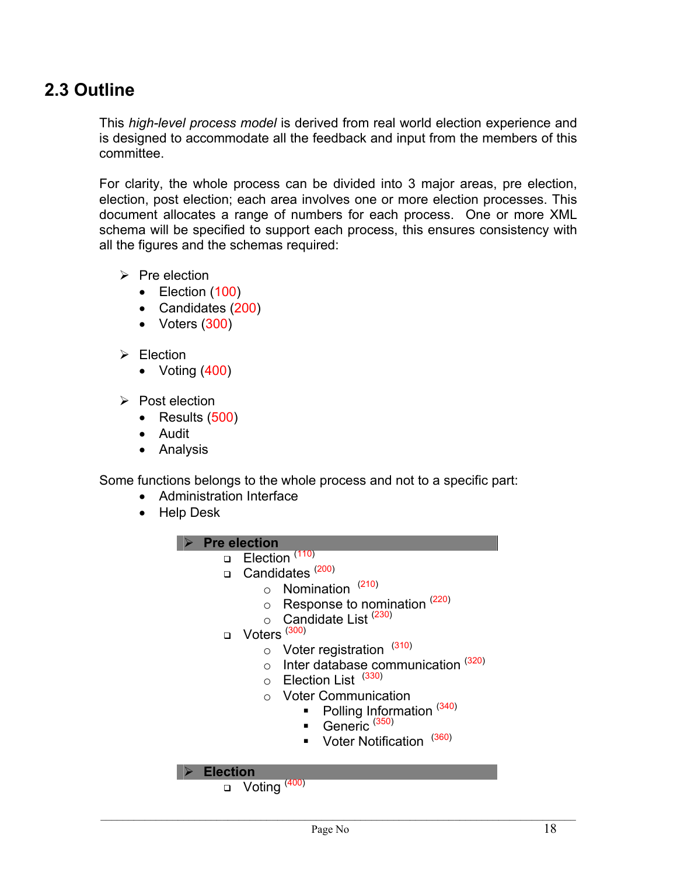## **2.3 Outline**

This *high-level process model* is derived from real world election experience and is designed to accommodate all the feedback and input from the members of this committee.

For clarity, the whole process can be divided into 3 major areas, pre election, election, post election; each area involves one or more election processes. This document allocates a range of numbers for each process. One or more XML schema will be specified to support each process, this ensures consistency with all the figures and the schemas required:

- $\triangleright$  Pre election
	- Election (100)
	- Candidates (200)
	- Voters (300)
- $\triangleright$  Election
	- Voting (400)
- $\triangleright$  Post election
	- Results (500)
	- Audit
	- Analysis

Some functions belongs to the whole process and not to a specific part:

- Administration Interface
- Help Desk

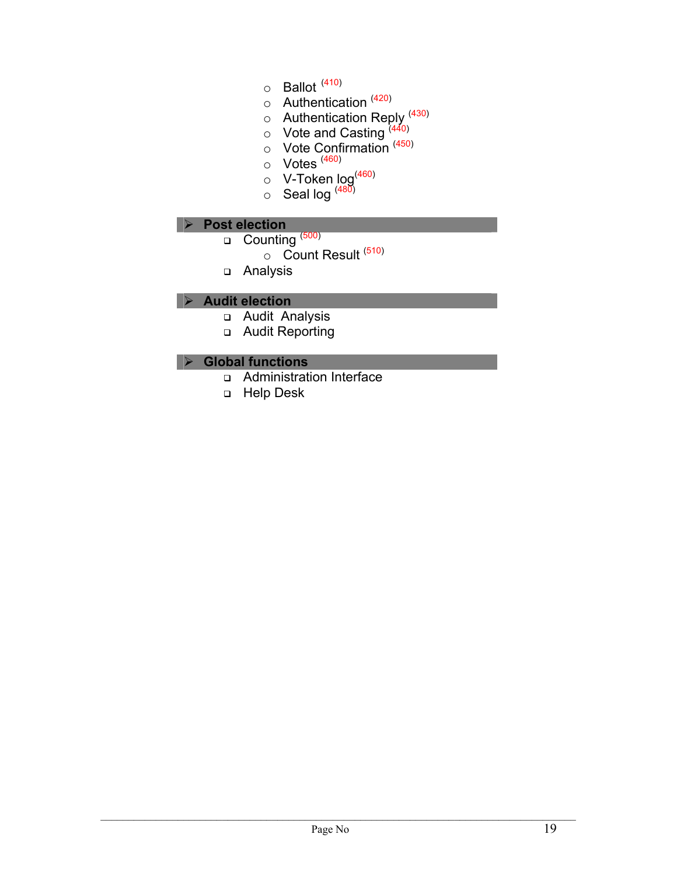- $\circ$  Ballot  $(410)$
- $\circ$  Authentication  $(420)$
- o Authentication Reply (430)
- $\circ$  Vote and Casting  $(440)$
- $\circ$  Vote Confirmation<sup>(450)</sup>
- o Votes <sup>(460)</sup>
- o V-Token log<sup>(460)</sup>
- $\circ$  Seal log  $^{(480)}$
- ¾ **Post election** 
	- $\Box$  Counting  $(500)$ 
		- $\circ$  Count Result  $(510)$
	- Analysis

### ¾ **Audit election**

- a Audit Analysis
- Audit Reporting

### ¾ **Global functions**

- a Administration Interface
- Help Desk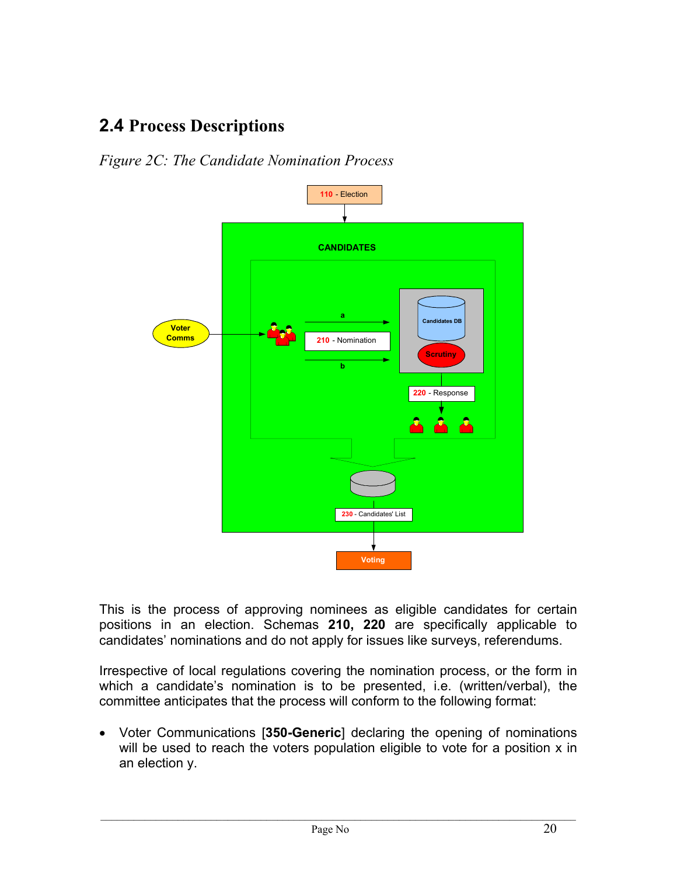## **2.4 Process Descriptions**

## *Figure 2C: The Candidate Nomination Process*



This is the process of approving nominees as eligible candidates for certain positions in an election. Schemas **210, 220** are specifically applicable to candidates' nominations and do not apply for issues like surveys, referendums.

Irrespective of local regulations covering the nomination process, or the form in which a candidate's nomination is to be presented, i.e. (written/verbal), the committee anticipates that the process will conform to the following format:

• Voter Communications [**350-Generic**] declaring the opening of nominations will be used to reach the voters population eligible to vote for a position x in an election y.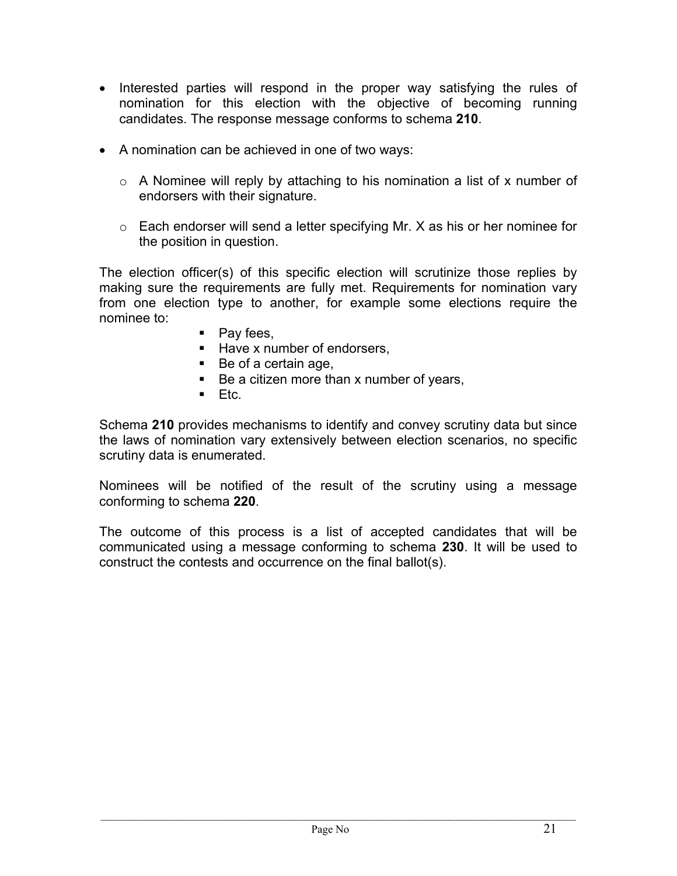- Interested parties will respond in the proper way satisfying the rules of nomination for this election with the objective of becoming running candidates. The response message conforms to schema **210**.
- A nomination can be achieved in one of two ways:
	- $\circ$  A Nominee will reply by attaching to his nomination a list of x number of endorsers with their signature.
	- $\circ$  Each endorser will send a letter specifying Mr. X as his or her nominee for the position in question.

The election officer(s) of this specific election will scrutinize those replies by making sure the requirements are fully met. Requirements for nomination vary from one election type to another, for example some elections require the nominee to:

- Pay fees,
- Have x number of endorsers,
- $\blacksquare$  Be of a certain age,
- Be a citizen more than x number of years,
- $E_{\text{t}}$

Schema **210** provides mechanisms to identify and convey scrutiny data but since the laws of nomination vary extensively between election scenarios, no specific scrutiny data is enumerated.

Nominees will be notified of the result of the scrutiny using a message conforming to schema **220**.

The outcome of this process is a list of accepted candidates that will be communicated using a message conforming to schema **230**. It will be used to construct the contests and occurrence on the final ballot(s).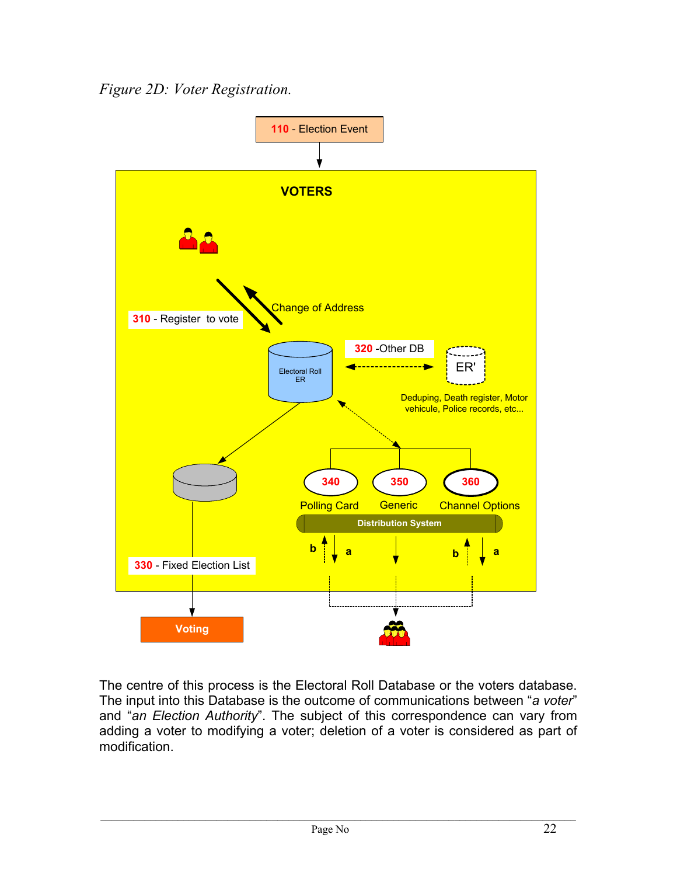*Figure 2D: Voter Registration.* 



The centre of this process is the Electoral Roll Database or the voters database. The input into this Database is the outcome of communications between "*a voter*" and "*an Election Authority*". The subject of this correspondence can vary from adding a voter to modifying a voter; deletion of a voter is considered as part of modification.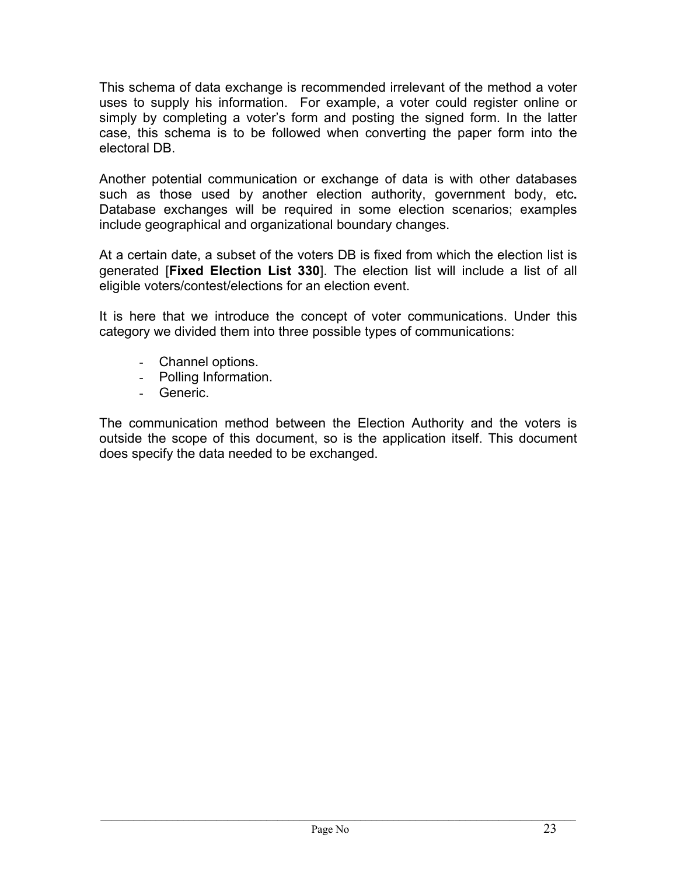This schema of data exchange is recommended irrelevant of the method a voter uses to supply his information. For example, a voter could register online or simply by completing a voter's form and posting the signed form. In the latter case, this schema is to be followed when converting the paper form into the electoral DB.

Another potential communication or exchange of data is with other databases such as those used by another election authority, government body, etc**.** Database exchanges will be required in some election scenarios; examples include geographical and organizational boundary changes.

At a certain date, a subset of the voters DB is fixed from which the election list is generated [**Fixed Election List 330**]. The election list will include a list of all eligible voters/contest/elections for an election event.

It is here that we introduce the concept of voter communications. Under this category we divided them into three possible types of communications:

- Channel options.
- Polling Information.
- Generic.

The communication method between the Election Authority and the voters is outside the scope of this document, so is the application itself. This document does specify the data needed to be exchanged.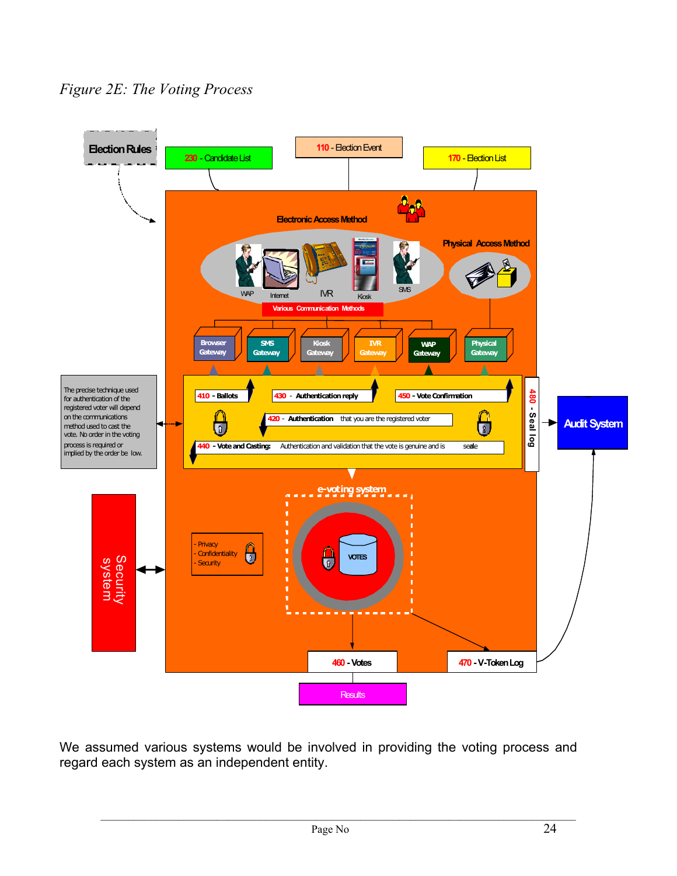



We assumed various systems would be involved in providing the voting process and regard each system as an independent entity.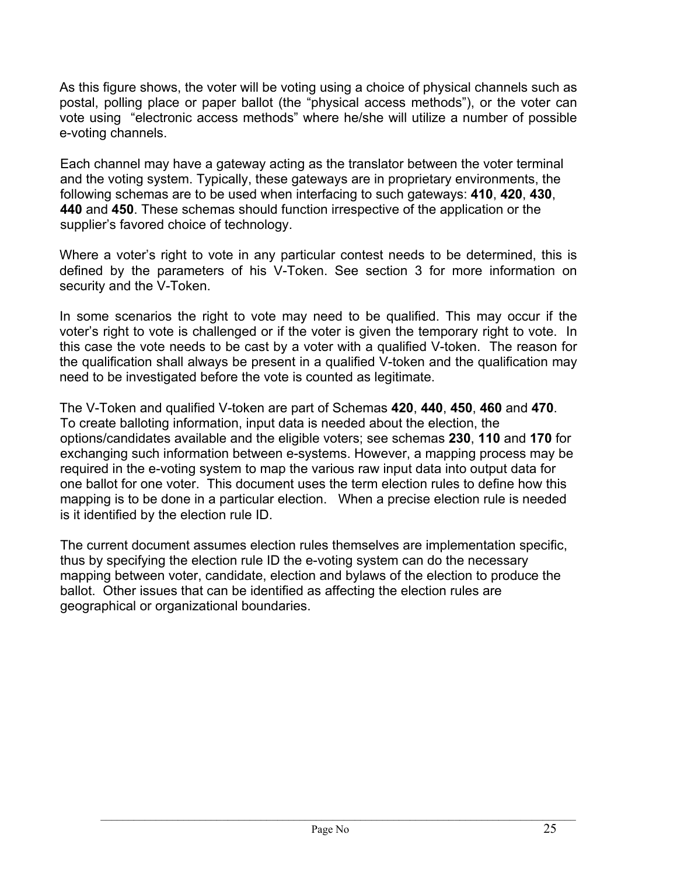As this figure shows, the voter will be voting using a choice of physical channels such as postal, polling place or paper ballot (the "physical access methods"), or the voter can vote using "electronic access methods" where he/she will utilize a number of possible e-voting channels.

Each channel may have a gateway acting as the translator between the voter terminal and the voting system. Typically, these gateways are in proprietary environments, the following schemas are to be used when interfacing to such gateways: **410**, **420**, **430**, **440** and **450**. These schemas should function irrespective of the application or the supplier's favored choice of technology.

Where a voter's right to vote in any particular contest needs to be determined, this is defined by the parameters of his V-Token. See section 3 for more information on security and the V-Token.

In some scenarios the right to vote may need to be qualified. This may occur if the voter's right to vote is challenged or if the voter is given the temporary right to vote. In this case the vote needs to be cast by a voter with a qualified V-token. The reason for the qualification shall always be present in a qualified V-token and the qualification may need to be investigated before the vote is counted as legitimate.

The V-Token and qualified V-token are part of Schemas **420**, **440**, **450**, **460** and **470**. To create balloting information, input data is needed about the election, the options/candidates available and the eligible voters; see schemas **230**, **110** and **170** for exchanging such information between e-systems. However, a mapping process may be required in the e-voting system to map the various raw input data into output data for one ballot for one voter. This document uses the term election rules to define how this mapping is to be done in a particular election. When a precise election rule is needed is it identified by the election rule ID.

The current document assumes election rules themselves are implementation specific, thus by specifying the election rule ID the e-voting system can do the necessary mapping between voter, candidate, election and bylaws of the election to produce the ballot. Other issues that can be identified as affecting the election rules are geographical or organizational boundaries.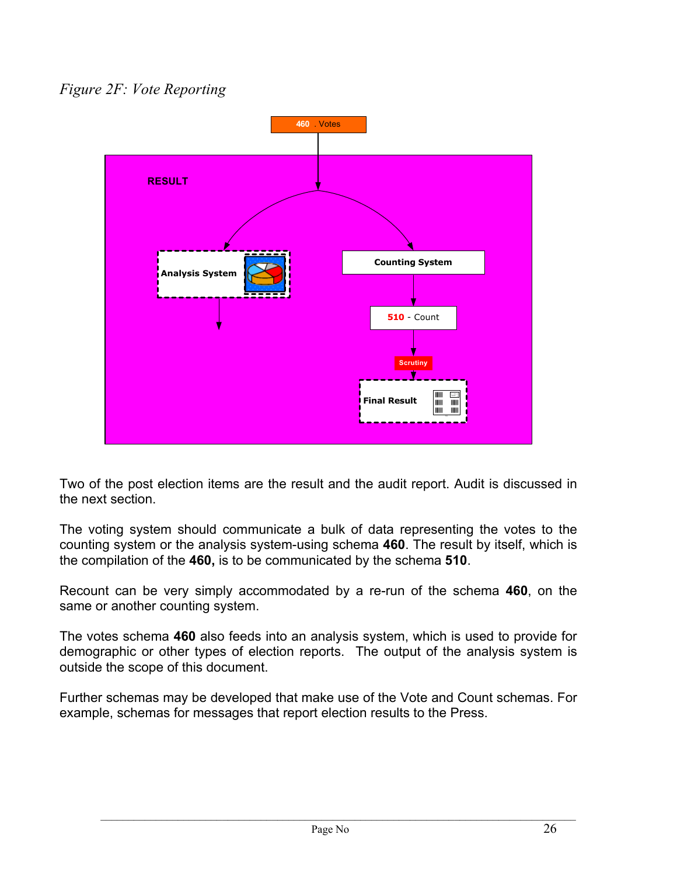## *Figure 2F: Vote Reporting*



Two of the post election items are the result and the audit report. Audit is discussed in the next section.

The voting system should communicate a bulk of data representing the votes to the counting system or the analysis system-using schema **460**. The result by itself, which is the compilation of the **460,** is to be communicated by the schema **510**.

Recount can be very simply accommodated by a re-run of the schema **460**, on the same or another counting system.

The votes schema **460** also feeds into an analysis system, which is used to provide for demographic or other types of election reports. The output of the analysis system is outside the scope of this document.

Further schemas may be developed that make use of the Vote and Count schemas. For example, schemas for messages that report election results to the Press.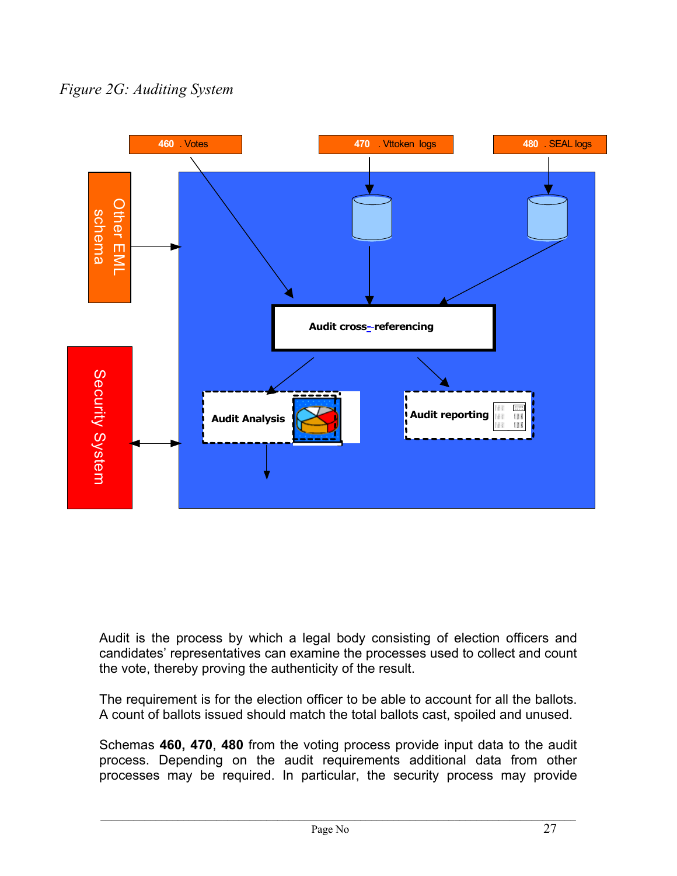



Audit is the process by which a legal body consisting of election officers and candidates' representatives can examine the processes used to collect and count the vote, thereby proving the authenticity of the result.

The requirement is for the election officer to be able to account for all the ballots. A count of ballots issued should match the total ballots cast, spoiled and unused.

Schemas **460, 470**, **480** from the voting process provide input data to the audit process. Depending on the audit requirements additional data from other processes may be required. In particular, the security process may provide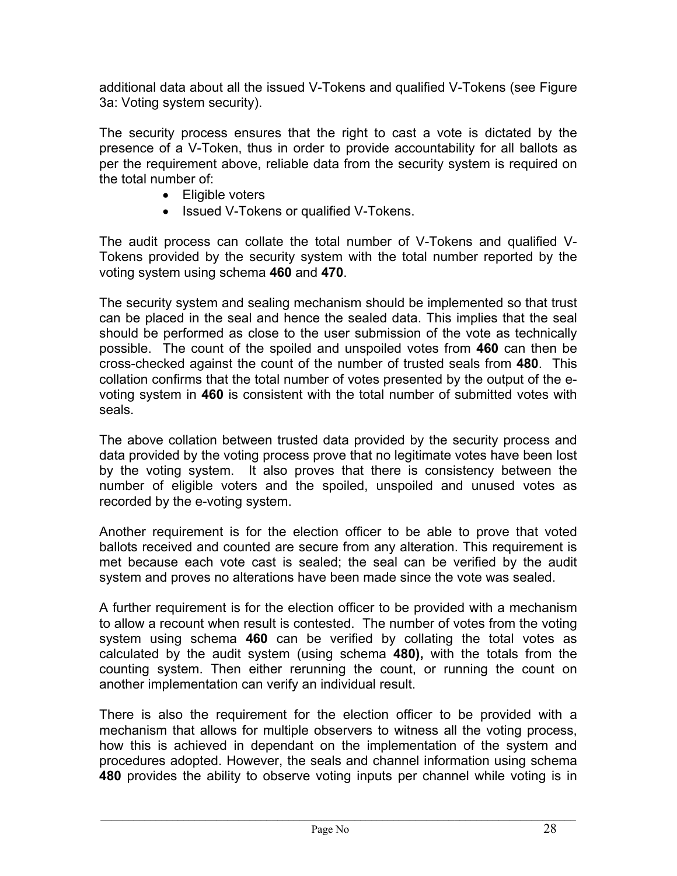additional data about all the issued V-Tokens and qualified V-Tokens (see Figure 3a: Voting system security).

The security process ensures that the right to cast a vote is dictated by the presence of a V-Token, thus in order to provide accountability for all ballots as per the requirement above, reliable data from the security system is required on the total number of:

- Eligible voters
- Issued V-Tokens or qualified V-Tokens.

The audit process can collate the total number of V-Tokens and qualified V-Tokens provided by the security system with the total number reported by the voting system using schema **460** and **470**.

The security system and sealing mechanism should be implemented so that trust can be placed in the seal and hence the sealed data. This implies that the seal should be performed as close to the user submission of the vote as technically possible. The count of the spoiled and unspoiled votes from **460** can then be cross-checked against the count of the number of trusted seals from **480**. This collation confirms that the total number of votes presented by the output of the evoting system in **460** is consistent with the total number of submitted votes with seals.

The above collation between trusted data provided by the security process and data provided by the voting process prove that no legitimate votes have been lost by the voting system. It also proves that there is consistency between the number of eligible voters and the spoiled, unspoiled and unused votes as recorded by the e-voting system.

Another requirement is for the election officer to be able to prove that voted ballots received and counted are secure from any alteration. This requirement is met because each vote cast is sealed; the seal can be verified by the audit system and proves no alterations have been made since the vote was sealed.

A further requirement is for the election officer to be provided with a mechanism to allow a recount when result is contested. The number of votes from the voting system using schema **460** can be verified by collating the total votes as calculated by the audit system (using schema **480),** with the totals from the counting system. Then either rerunning the count, or running the count on another implementation can verify an individual result.

There is also the requirement for the election officer to be provided with a mechanism that allows for multiple observers to witness all the voting process, how this is achieved in dependant on the implementation of the system and procedures adopted. However, the seals and channel information using schema **480** provides the ability to observe voting inputs per channel while voting is in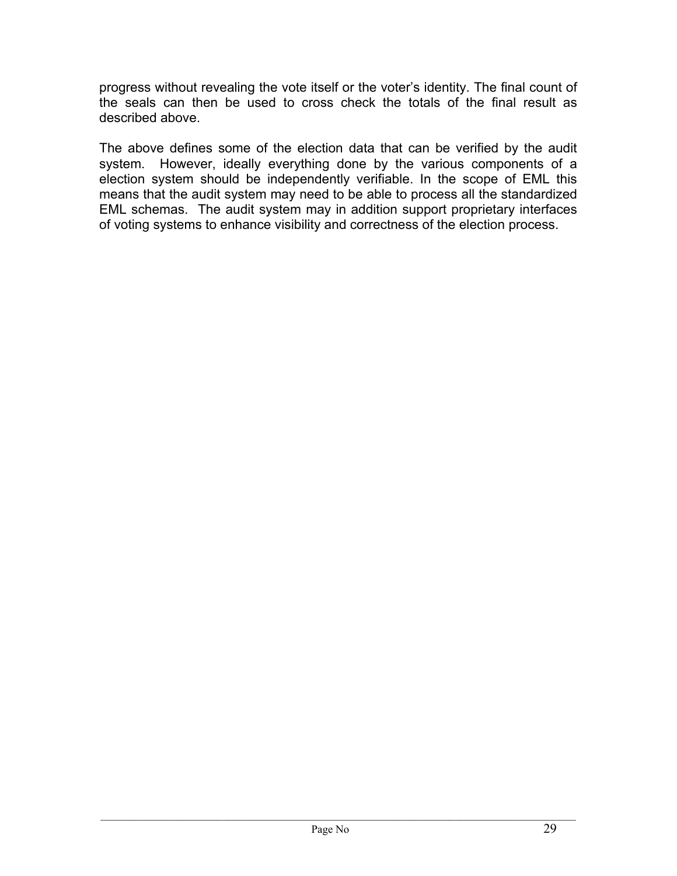progress without revealing the vote itself or the voter's identity. The final count of the seals can then be used to cross check the totals of the final result as described above.

The above defines some of the election data that can be verified by the audit system. However, ideally everything done by the various components of a election system should be independently verifiable. In the scope of EML this means that the audit system may need to be able to process all the standardized EML schemas. The audit system may in addition support proprietary interfaces of voting systems to enhance visibility and correctness of the election process.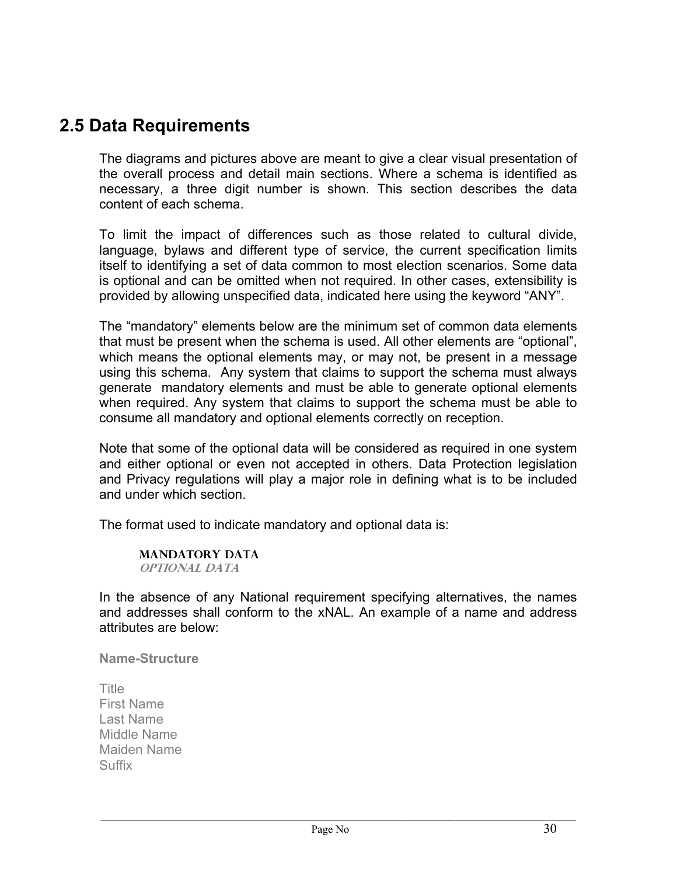## **2.5 Data Requirements**

The diagrams and pictures above are meant to give a clear visual presentation of the overall process and detail main sections. Where a schema is identified as necessary, a three digit number is shown. This section describes the data content of each schema.

To limit the impact of differences such as those related to cultural divide, language, bylaws and different type of service, the current specification limits itself to identifying a set of data common to most election scenarios. Some data is optional and can be omitted when not required. In other cases, extensibility is provided by allowing unspecified data, indicated here using the keyword "ANY".

The "mandatory" elements below are the minimum set of common data elements that must be present when the schema is used. All other elements are "optional", which means the optional elements may, or may not, be present in a message using this schema. Any system that claims to support the schema must always generate mandatory elements and must be able to generate optional elements when required. Any system that claims to support the schema must be able to consume all mandatory and optional elements correctly on reception.

Note that some of the optional data will be considered as required in one system and either optional or even not accepted in others. Data Protection legislation and Privacy regulations will play a major role in defining what is to be included and under which section.

The format used to indicate mandatory and optional data is:

#### **Mandatory DATA Optional DATA**

In the absence of any National requirement specifying alternatives, the names and addresses shall conform to the xNAL. An example of a name and address attributes are below:

**Name-Structure** 

**Title** First Name Last Name Middle Name Maiden Name Suffix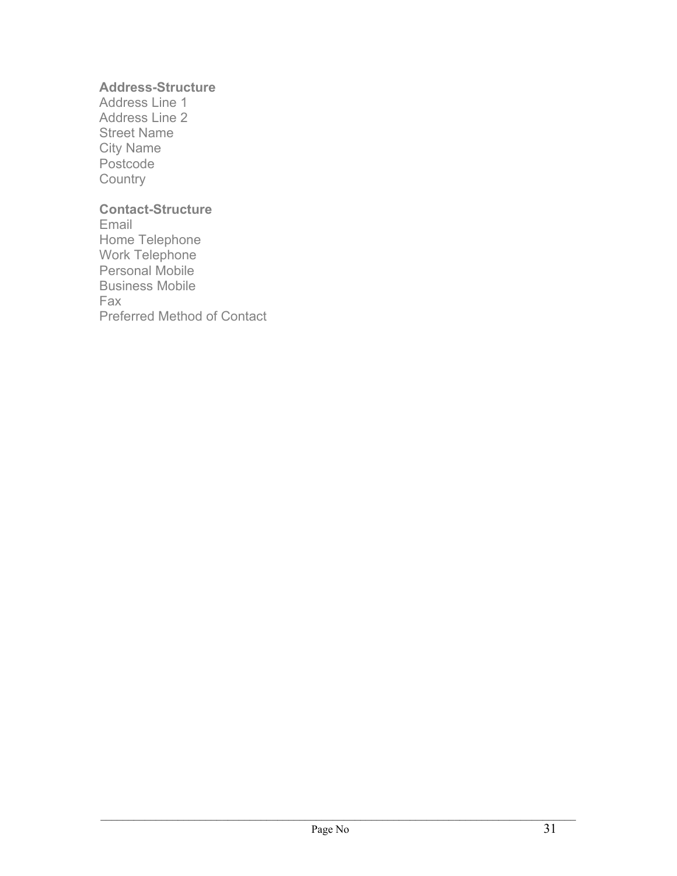### **Address-Structure**

Address Line 1 Address Line 2 Street Name City Name Postcode **Country** 

## **Contact-Structure**

Email Home Telephone Work Telephone Personal Mobile Business Mobile Fax Preferred Method of Contact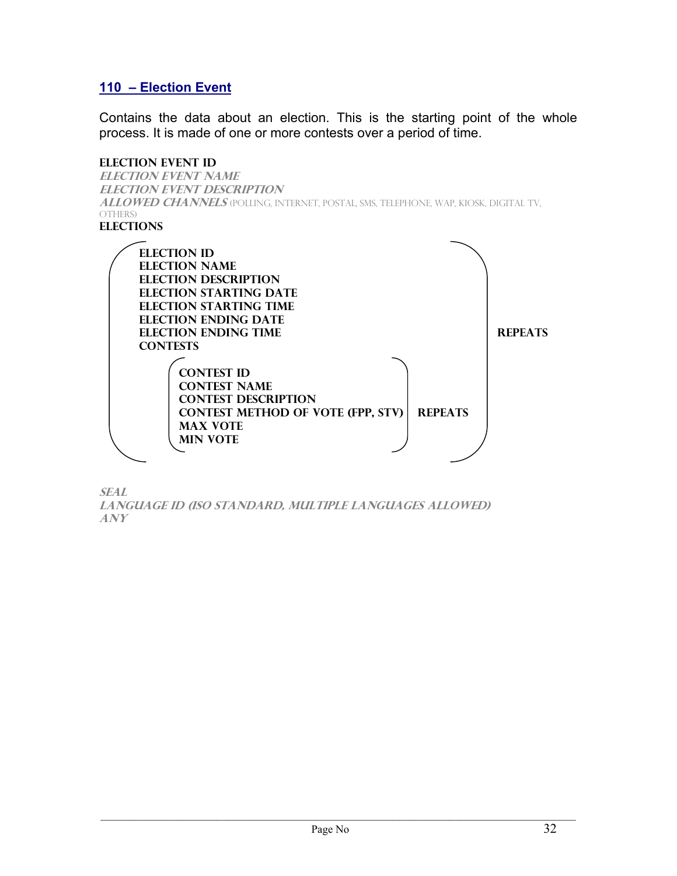### **110 – Election Event**

Contains the data about an election. This is the starting point of the whole process. It is made of one or more contests over a period of time.



**Seal** 

**Language ID (ISO standard, multiple languages allowed) Any**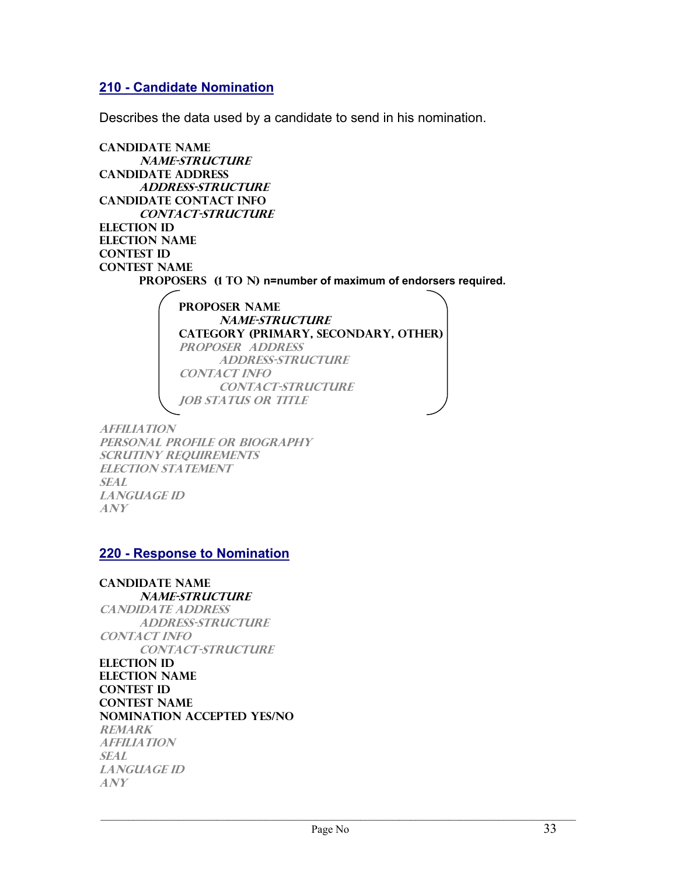#### **210 - Candidate Nomination**

Describes the data used by a candidate to send in his nomination.

**Candidate Name Name-Structure Candidate Address Address-Structure Candidate Contact Info Contact-Structure Election id Election Name CONTEST ID Contest Name**  PROPOSERS (1 TO N) n=number of maximum of endorsers required.  **Proposer Name Name-Structure Category (primary, secondary, other) Proposer Address Address-Structure Contact Info Contact-Structure Job Status or Title Affiliation Personal Profile or Biography Scrutiny requirements ELECTION STATEMENT Seal Language ID Any**

**220 - Response to Nomination**

**Candidate Name Name-Structure Candidate Address Address-Structure Contact Info Contact-Structure Election id Election Name CONTEST ID Contest Name Nomination accepted Yes/No Remark Affiliation Seal Language ID Any**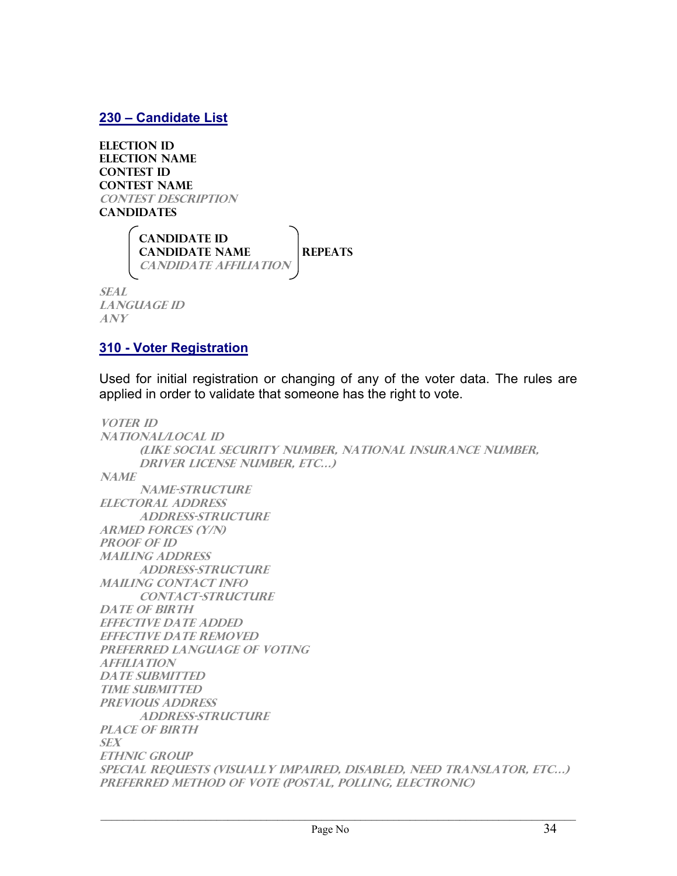### **230 – Candidate List**

**Election id Election Name Contest ID Contest Name Contest Description Candidates** 

> **Candidate ID CANDIDATE NAME REPEATS Candidate Affiliation**

**Seal Language ID Any**

#### **310 - Voter Registration**

Used for initial registration or changing of any of the voter data. The rules are applied in order to validate that someone has the right to vote.

```
VOTER ID 
National/Local ID 
      (Like Social Security Number, National Insurance Number, 
      Driver License Number, etc…) 
Name 
       Name-Structure 
 Electoral Address 
       Address-Structure 
Armed forces (Y/N) 
 Proof of ID 
Mailing Address 
       Address-Structure 
Mailing Contact Info 
       Contact-Structure 
DATE OF BIRTH
EFFECTIVE DATE ADDED
EFFECTIVE DATE REMOVED
Preferred language of voting 
 Affiliation 
DATE SUBMITTED
 Time Submitted 
 Previous Address 
       Address-Structure 
 Place of Birth 
 Sex 
 Ethnic group 
 Special requests (visually impaired, disabled, need translator, etc…) 
 Preferred method of vote (Postal, Polling, electronic)
```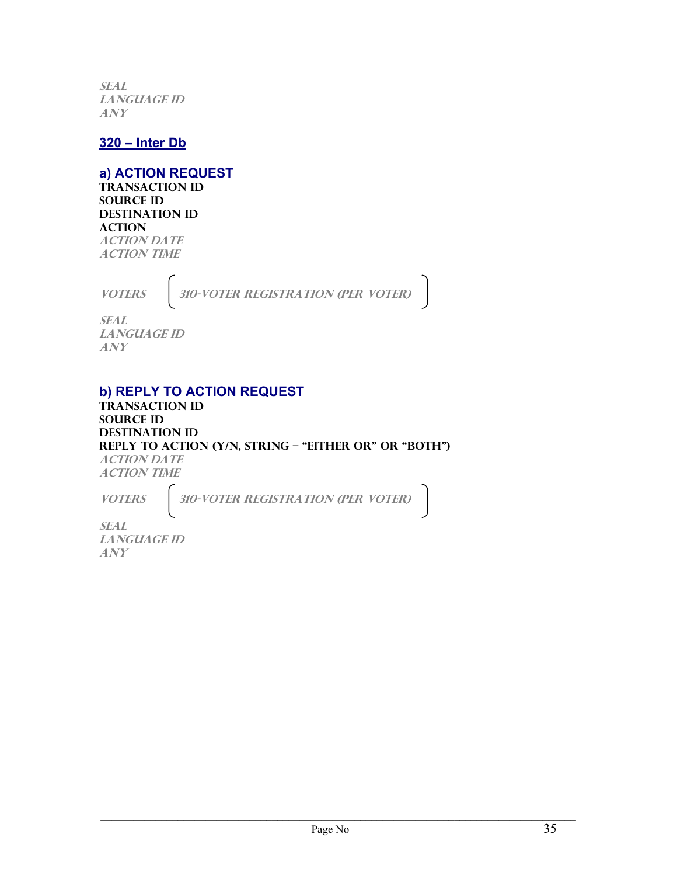**Seal Language ID Any**

**320 – Inter Db**

**a) ACTION REQUEST Transaction id Source ID Destination ID Action ACTION DATE Action time** 

**Voters 310-Voter Registration (per voter)** 

**Seal Language ID Any**

### **b) REPLY TO ACTION REQUEST**

**Transaction id Source ID Destination ID Reply to ACTION (Y/N, string – "either or" or "both") ACTION DATE Action time**

**Voters 310-Voter Registration (per voter)** 

**Seal Language ID Any**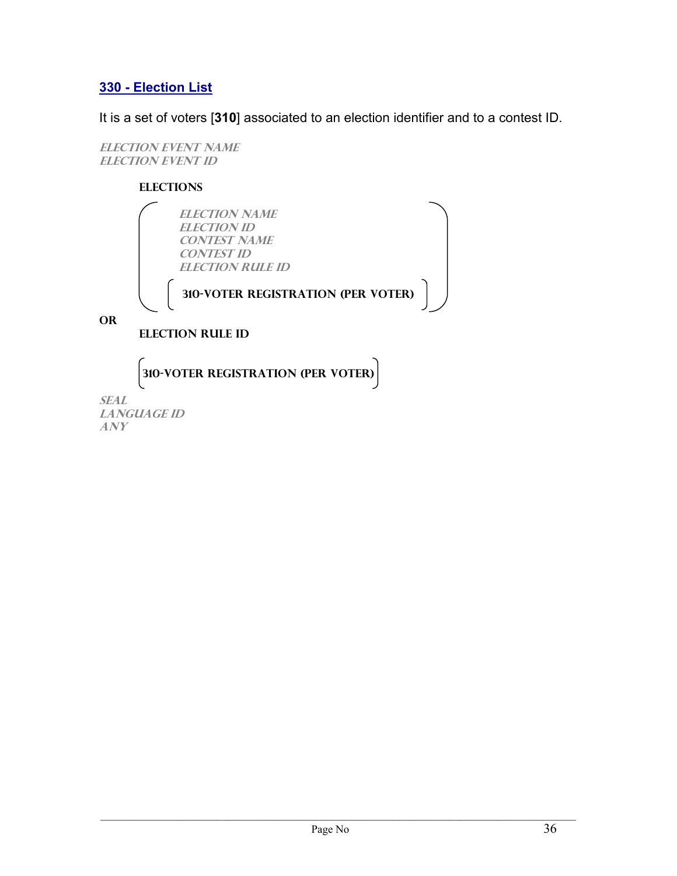### **330 - Election List**

It is a set of voters [**310**] associated to an election identifier and to a contest ID.

```
Election EVENT NAME
Election EVENT ID
```
#### **ELECTIONS**



 **310-Voter Registration (per voter)** 

**Seal Language ID Any**

**OR**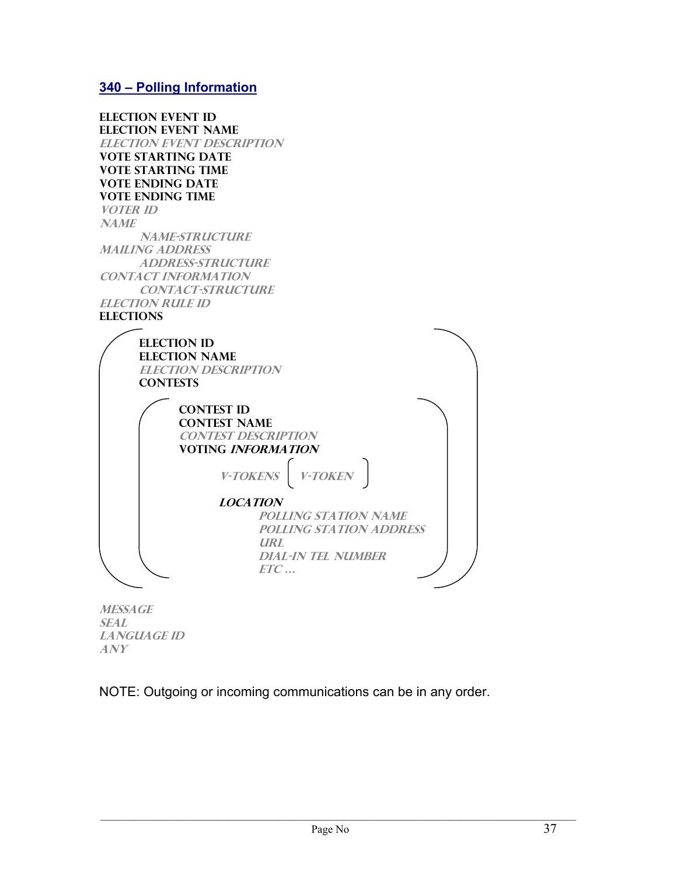#### **340 – Polling Information**



**Message Seal Language ID Any** 

NOTE: Outgoing or incoming communications can be in any order.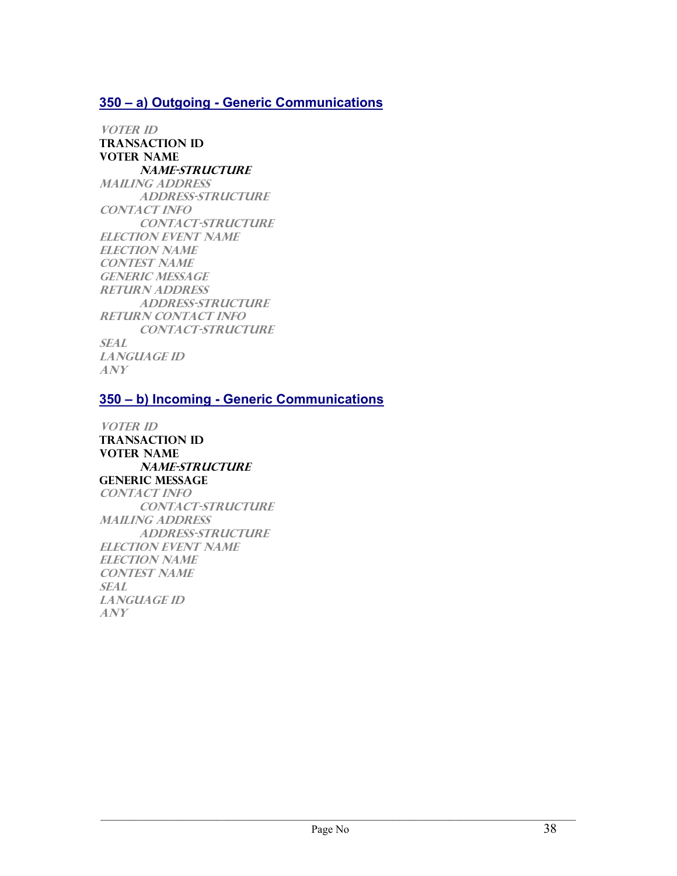### **350 – a) Outgoing - Generic Communications**

**Voter ID Transaction id VOTER NAME Name-Structure Mailing Address Address-Structure Contact Info Contact-Structure Election event Name Election Name CONTEST NAME Generic Message Return Address Address-Structure Return Contact Info Contact-Structure Seal Language ID Any**

#### **350 – b) Incoming - Generic Communications**

**Voter ID Transaction id Voter name Name-Structure Generic Message CONTACT INFO Contact-Structure Mailing Address Address-Structure Election event Name Election Name CONTEST NAME Seal Language ID Any**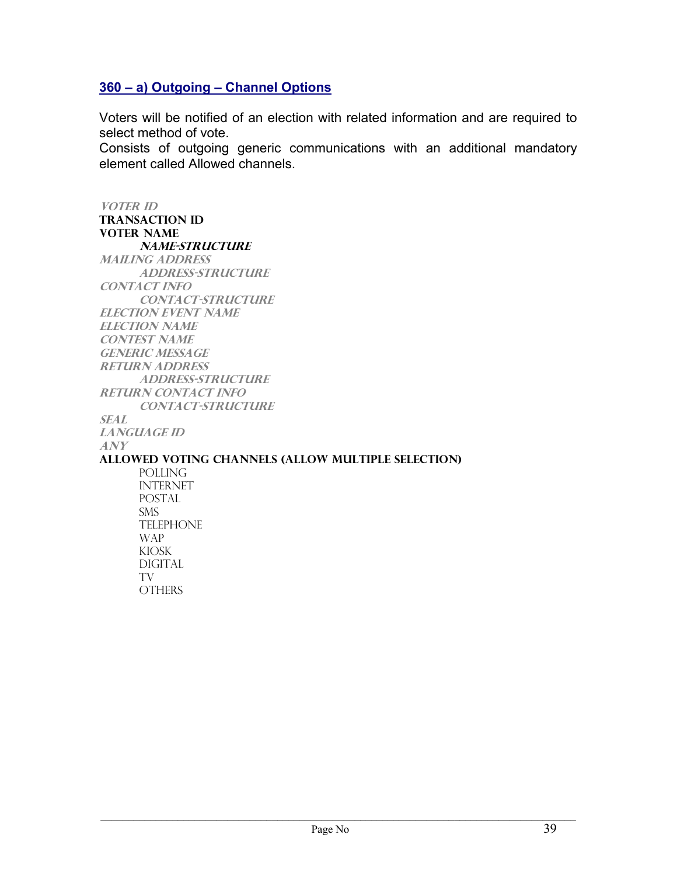### **360 – a) Outgoing – Channel Options**

Voters will be notified of an election with related information and are required to select method of vote.

Consists of outgoing generic communications with an additional mandatory element called Allowed channels.

**Voter ID Transaction id Voter Name Name-Structure Mailing Address Address-Structure CONTACT INFO Contact-Structure Election event Name Election Name CONTEST NAME Generic Message Return Address Address-Structure Return Contact Info Contact-Structure Seal Language ID Any Allowed Voting Channels (allow multiple selection) POLLING INTERNET POSTAL SMS TELEPHONE** Wap **KIOSK DIGITAL** Tv **OTHERS**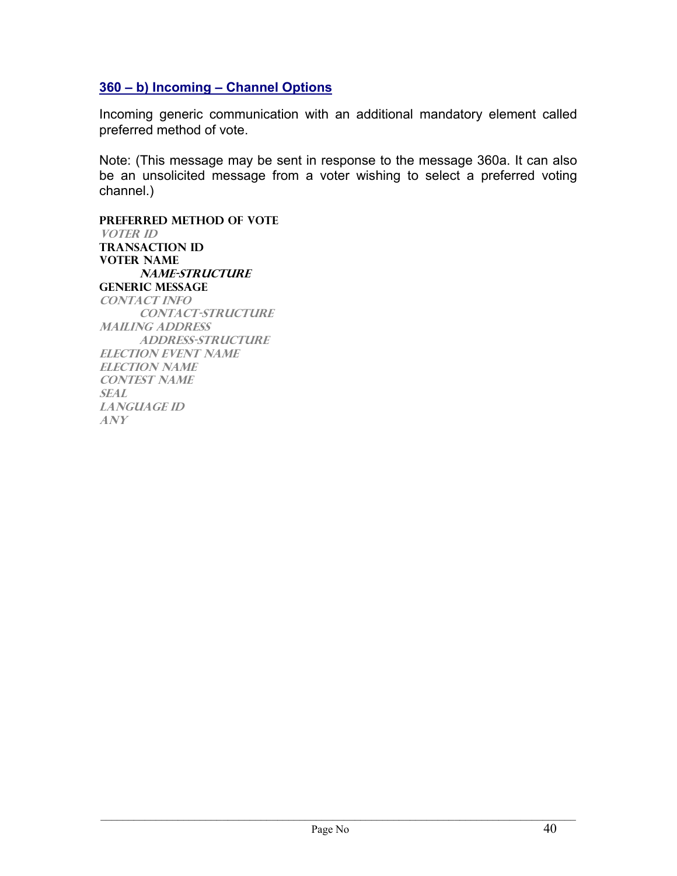### **360 – b) Incoming – Channel Options**

Incoming generic communication with an additional mandatory element called preferred method of vote.

Note: (This message may be sent in response to the message 360a. It can also be an unsolicited message from a voter wishing to select a preferred voting channel.)

**Preferred method of vote Voter ID Transaction id Voter name Name-Structure Generic Message Contact Info Contact-Structure Mailing Address Address-Structure Election event Name Election Name CONTEST NAME Seal Language ID Any**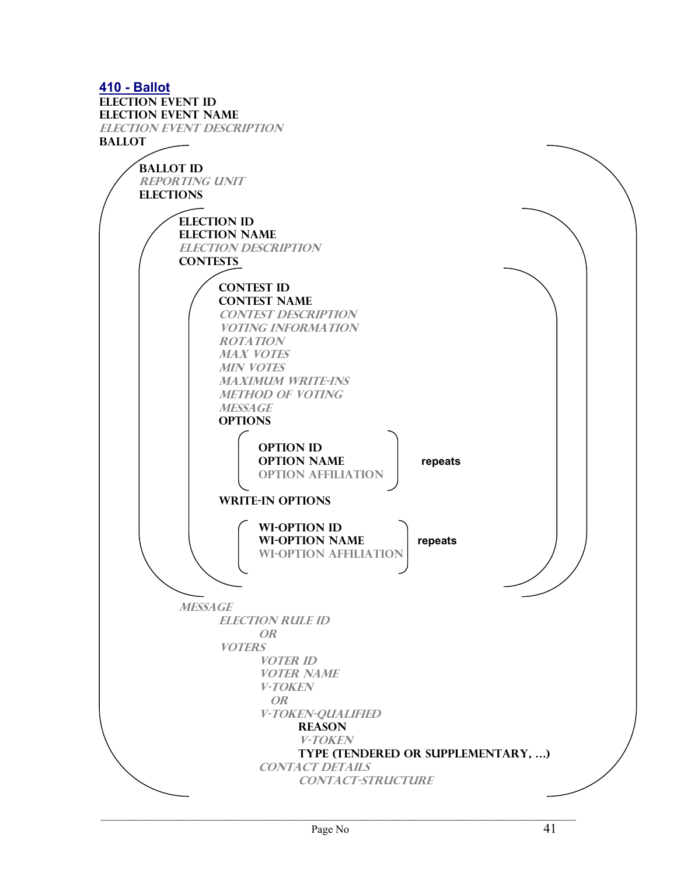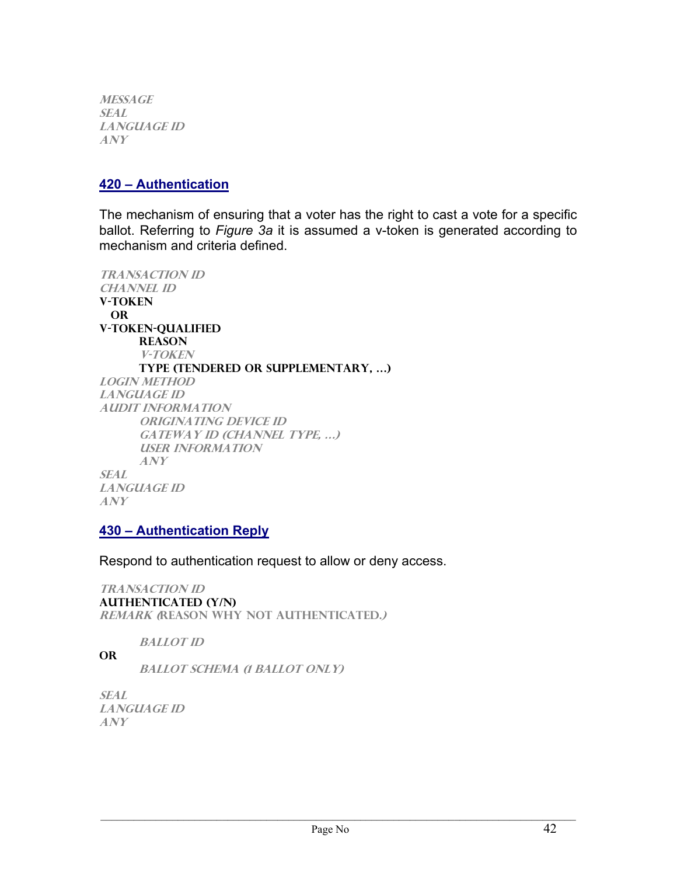**Message Seal Language ID Any**

### **420 – Authentication**

The mechanism of ensuring that a voter has the right to cast a vote for a specific ballot. Referring to *Figure 3a* it is assumed a v-token is generated according to mechanism and criteria defined.

**Transaction id CHANNEL ID V-token Or v-token-qualified reason v-TOKEN type (tendered or supplementary, …) Login Method Language ID Audit Information ORIGINATING DEVICE ID**  GATEWAY ID (CHANNEL TYPE, ...) **User information any Seal Language ID Any**

### **430 – Authentication Reply**

Respond to authentication request to allow or deny access.

**Transaction id Authenticated (Y/N) Remark (Reason why not authenticated.)** 

**Ballot id** 

**Ballot schema (1 ballot only)** 

**Seal Language ID Any**

**Or**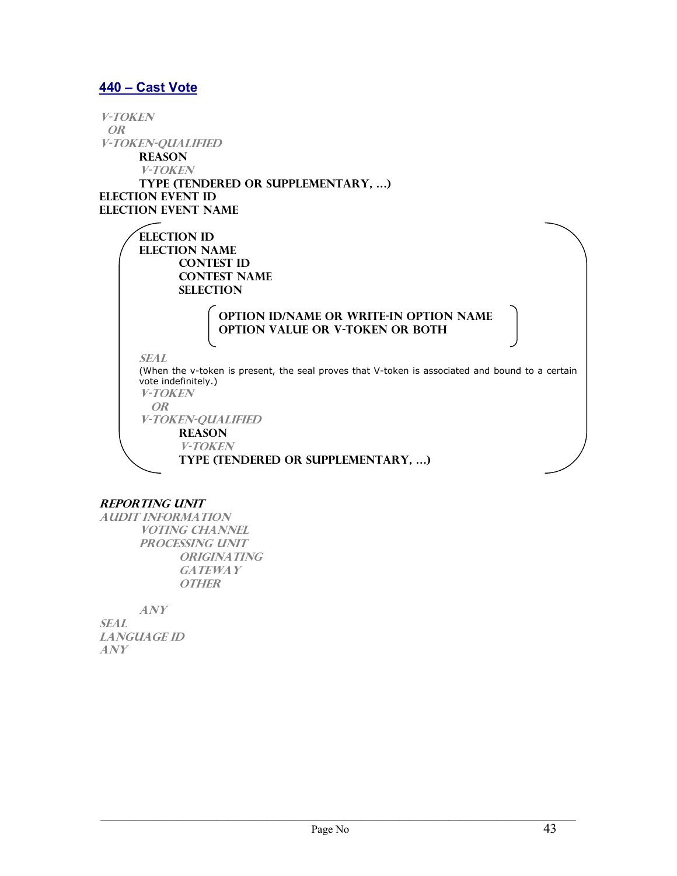#### **440 – Cast Vote**



**Reporting unit Audit Information VOTING CHANNEL Processing UNIT Originating Gateway Other** 

**any** 

**Seal Language ID Any**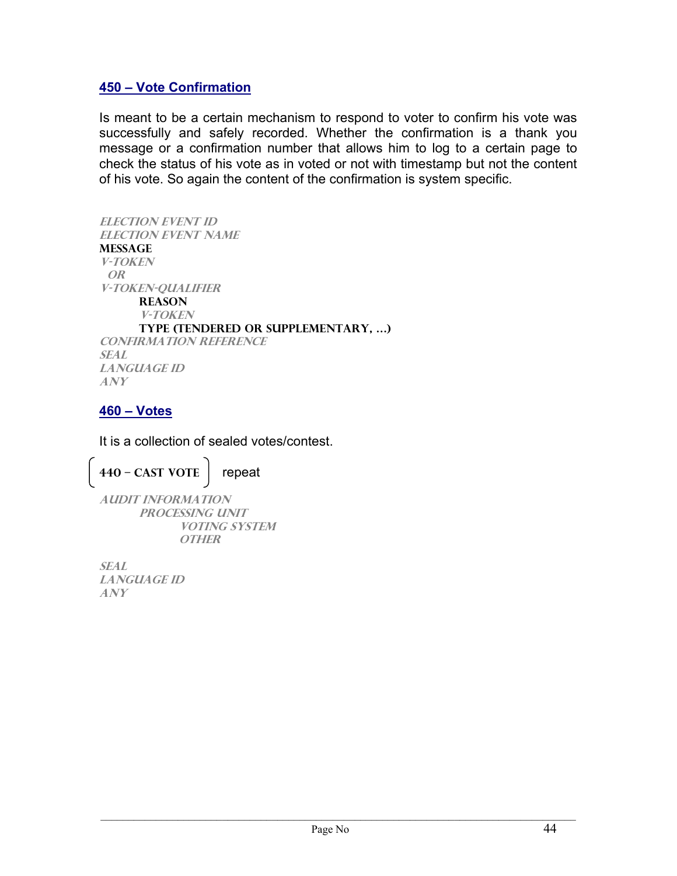### **450 – Vote Confirmation**

Is meant to be a certain mechanism to respond to voter to confirm his vote was successfully and safely recorded. Whether the confirmation is a thank you message or a confirmation number that allows him to log to a certain page to check the status of his vote as in voted or not with timestamp but not the content of his vote. So again the content of the confirmation is system specific.

**Election Event ID Election Event Name Message V-TOKEN or v-token-qualifier reason**  *V-TOKEN* **type (tendered or supplementary, …) CONFIRMATION REFERENCE Seal Language ID Any**

### **460 – Votes**

It is a collection of sealed votes/contest.

**440 – cast Vote** repeat **Audit Information PROCESSING UNIT Voting system Other** 

**Seal Language ID Any**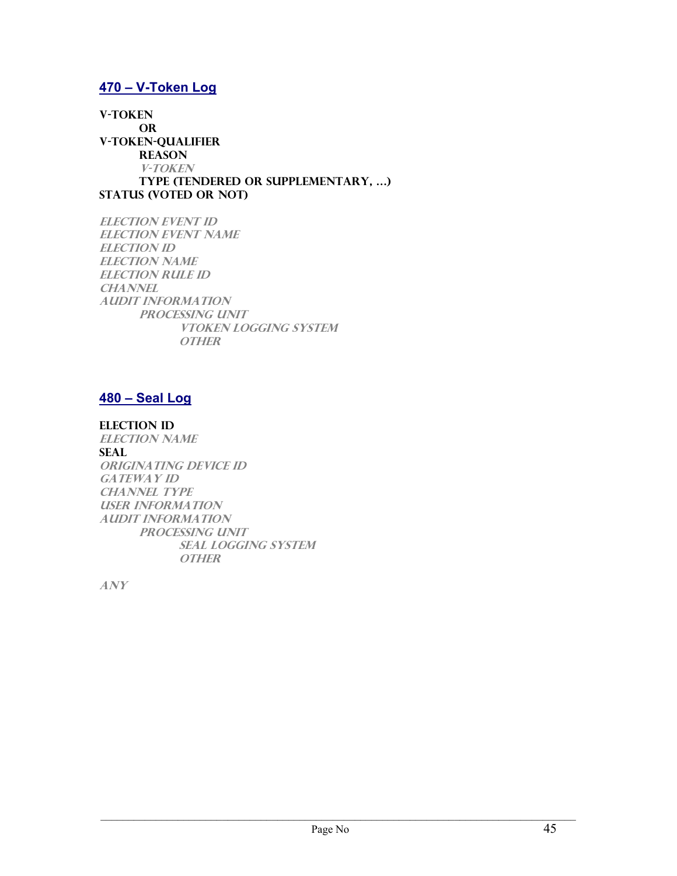#### **470 – V-Token Log**

**V-TOKEN Or v-token-qualifier reason**  *V-TOKEN* **type (tendered or supplementary, …) Status (voted or not)** 

**Election event id Election event name Election id Election name Election rule id Channel Audit Information PROCESSING UNIT Vtoken logging system Other** 

#### **480 – Seal Log**

#### **Election id**

**Election name Seal ORIGINATING DEVICE ID GATEWAY ID** *CHANNEL TYPE* **User information Audit Information PROCESSING UNIT Seal logging system Other** 

**Any**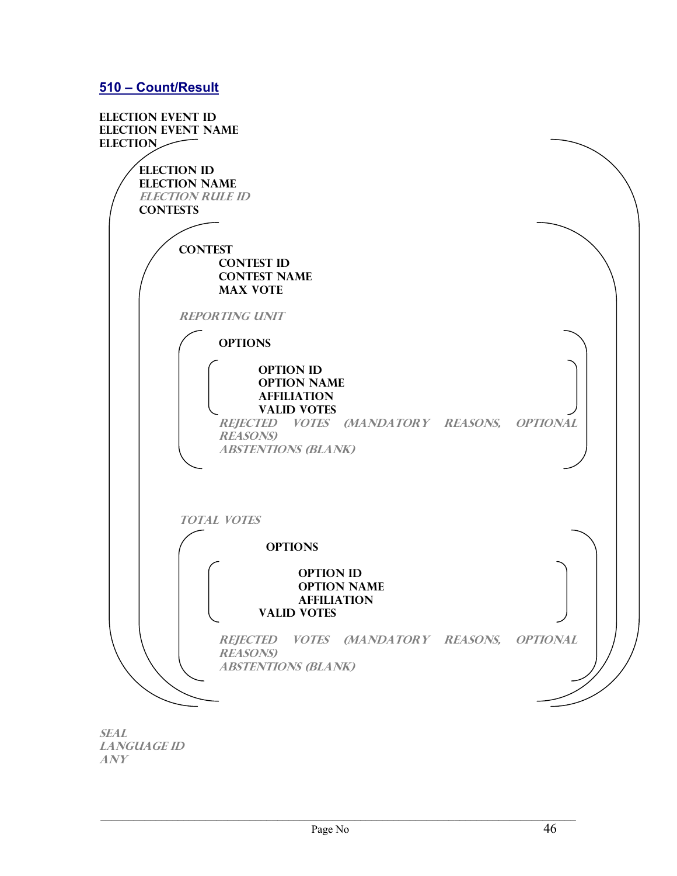



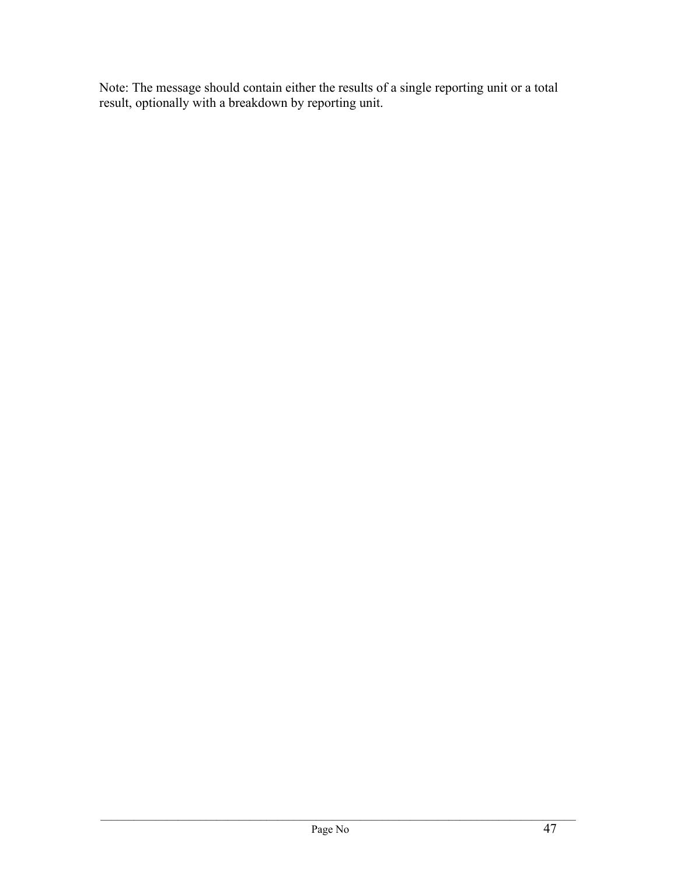Note: The message should contain either the results of a single reporting unit or a total result, optionally with a breakdown by reporting unit.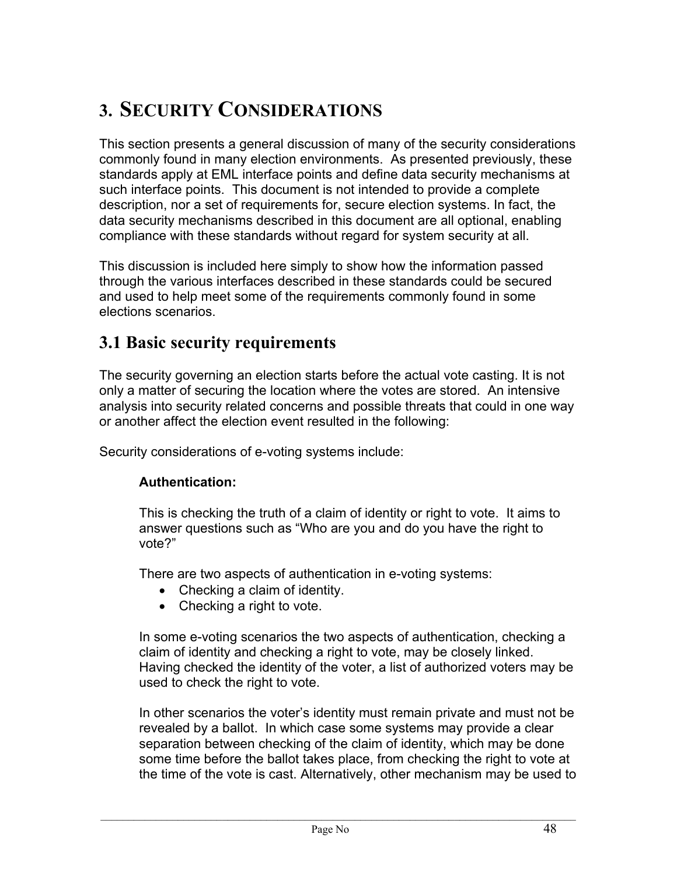## **3. SECURITY CONSIDERATIONS**

This section presents a general discussion of many of the security considerations commonly found in many election environments. As presented previously, these standards apply at EML interface points and define data security mechanisms at such interface points. This document is not intended to provide a complete description, nor a set of requirements for, secure election systems. In fact, the data security mechanisms described in this document are all optional, enabling compliance with these standards without regard for system security at all.

This discussion is included here simply to show how the information passed through the various interfaces described in these standards could be secured and used to help meet some of the requirements commonly found in some elections scenarios.

## **3.1 Basic security requirements**

The security governing an election starts before the actual vote casting. It is not only a matter of securing the location where the votes are stored. An intensive analysis into security related concerns and possible threats that could in one way or another affect the election event resulted in the following:

Security considerations of e-voting systems include:

### **Authentication:**

This is checking the truth of a claim of identity or right to vote. It aims to answer questions such as "Who are you and do you have the right to vote?"

There are two aspects of authentication in e-voting systems:

- Checking a claim of identity.
- Checking a right to vote.

In some e-voting scenarios the two aspects of authentication, checking a claim of identity and checking a right to vote, may be closely linked. Having checked the identity of the voter, a list of authorized voters may be used to check the right to vote.

In other scenarios the voter's identity must remain private and must not be revealed by a ballot. In which case some systems may provide a clear separation between checking of the claim of identity, which may be done some time before the ballot takes place, from checking the right to vote at the time of the vote is cast. Alternatively, other mechanism may be used to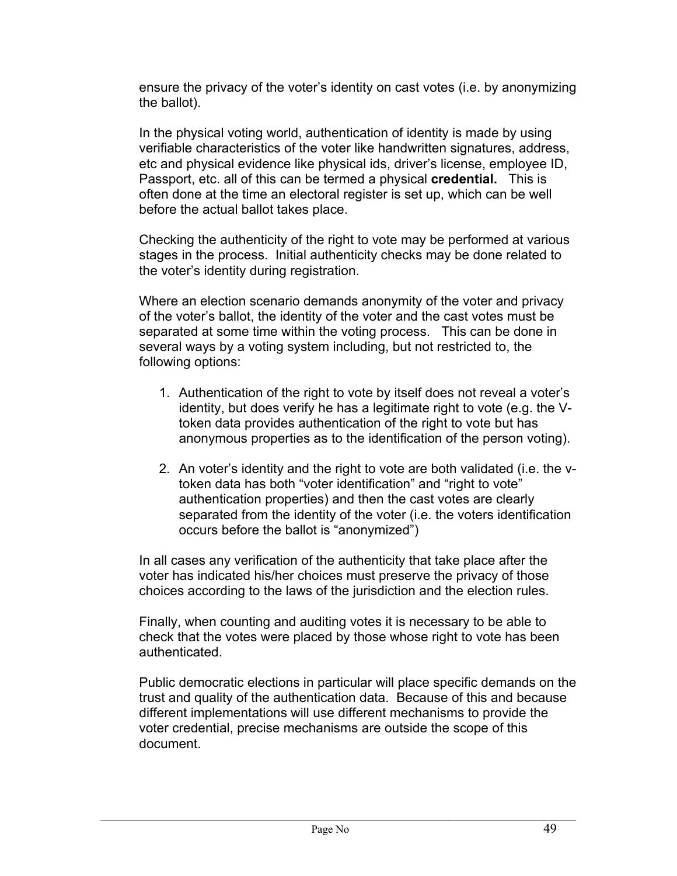ensure the privacy of the voter's identity on cast votes (i.e. by anonymizing the ballot).

In the physical voting world, authentication of identity is made by using verifiable characteristics of the voter like handwritten signatures, address, etc and physical evidence like physical ids, driver's license, employee ID, Passport, etc. all of this can be termed a physical **credential.** This is often done at the time an electoral register is set up, which can be well before the actual ballot takes place.

Checking the authenticity of the right to vote may be performed at various stages in the process. Initial authenticity checks may be done related to the voter's identity during registration.

Where an election scenario demands anonymity of the voter and privacy of the voter's ballot, the identity of the voter and the cast votes must be separated at some time within the voting process. This can be done in several ways by a voting system including, but not restricted to, the following options:

- 1. Authentication of the right to vote by itself does not reveal a voter's identity, but does verify he has a legitimate right to vote (e.g. the Vtoken data provides authentication of the right to vote but has anonymous properties as to the identification of the person voting).
- 2. An voter's identity and the right to vote are both validated (i.e. the vtoken data has both "voter identification" and "right to vote" authentication properties) and then the cast votes are clearly separated from the identity of the voter (i.e. the voters identification occurs before the ballot is "anonymized")

In all cases any verification of the authenticity that take place after the voter has indicated his/her choices must preserve the privacy of those choices according to the laws of the jurisdiction and the election rules.

Finally, when counting and auditing votes it is necessary to be able to check that the votes were placed by those whose right to vote has been authenticated.

Public democratic elections in particular will place specific demands on the trust and quality of the authentication data. Because of this and because different implementations will use different mechanisms to provide the voter credential, precise mechanisms are outside the scope of this document.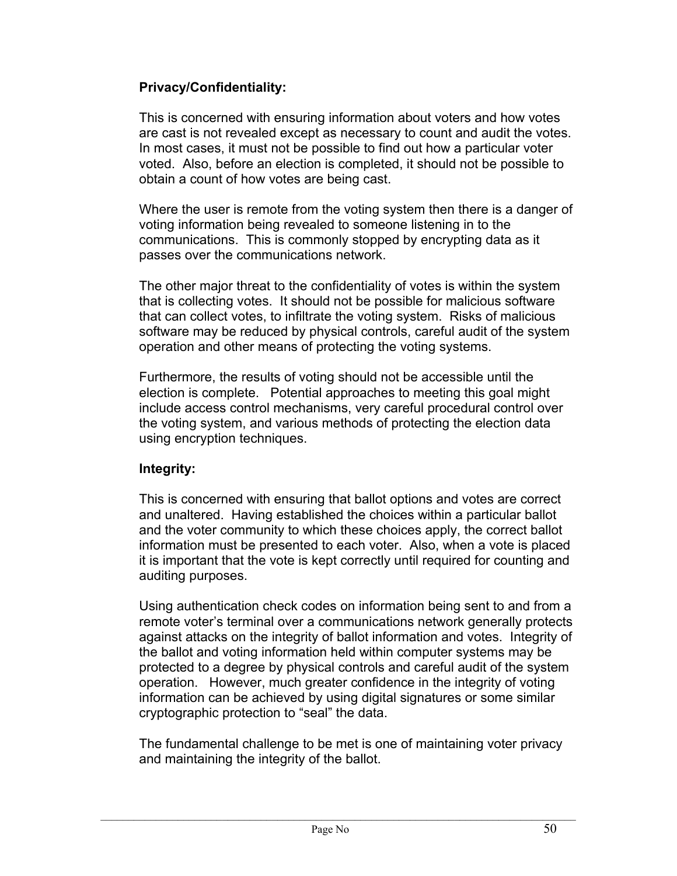### **Privacy/Confidentiality:**

This is concerned with ensuring information about voters and how votes are cast is not revealed except as necessary to count and audit the votes. In most cases, it must not be possible to find out how a particular voter voted. Also, before an election is completed, it should not be possible to obtain a count of how votes are being cast.

Where the user is remote from the voting system then there is a danger of voting information being revealed to someone listening in to the communications. This is commonly stopped by encrypting data as it passes over the communications network.

The other major threat to the confidentiality of votes is within the system that is collecting votes. It should not be possible for malicious software that can collect votes, to infiltrate the voting system. Risks of malicious software may be reduced by physical controls, careful audit of the system operation and other means of protecting the voting systems.

Furthermore, the results of voting should not be accessible until the election is complete. Potential approaches to meeting this goal might include access control mechanisms, very careful procedural control over the voting system, and various methods of protecting the election data using encryption techniques.

### **Integrity:**

This is concerned with ensuring that ballot options and votes are correct and unaltered. Having established the choices within a particular ballot and the voter community to which these choices apply, the correct ballot information must be presented to each voter. Also, when a vote is placed it is important that the vote is kept correctly until required for counting and auditing purposes.

Using authentication check codes on information being sent to and from a remote voter's terminal over a communications network generally protects against attacks on the integrity of ballot information and votes. Integrity of the ballot and voting information held within computer systems may be protected to a degree by physical controls and careful audit of the system operation. However, much greater confidence in the integrity of voting information can be achieved by using digital signatures or some similar cryptographic protection to "seal" the data.

The fundamental challenge to be met is one of maintaining voter privacy and maintaining the integrity of the ballot.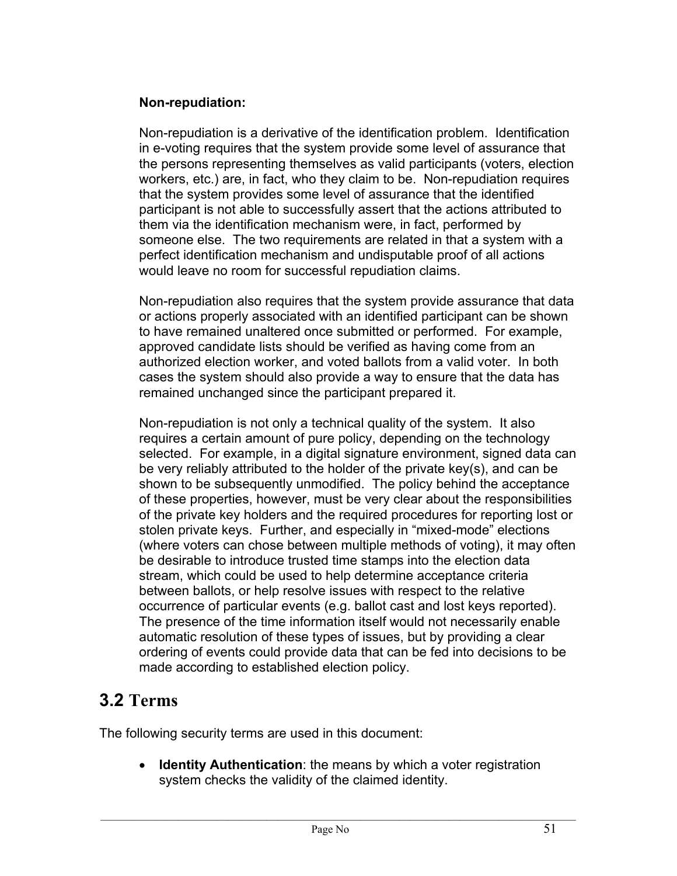### **Non-repudiation:**

Non-repudiation is a derivative of the identification problem. Identification in e-voting requires that the system provide some level of assurance that the persons representing themselves as valid participants (voters, election workers, etc.) are, in fact, who they claim to be. Non-repudiation requires that the system provides some level of assurance that the identified participant is not able to successfully assert that the actions attributed to them via the identification mechanism were, in fact, performed by someone else. The two requirements are related in that a system with a perfect identification mechanism and undisputable proof of all actions would leave no room for successful repudiation claims.

Non-repudiation also requires that the system provide assurance that data or actions properly associated with an identified participant can be shown to have remained unaltered once submitted or performed. For example, approved candidate lists should be verified as having come from an authorized election worker, and voted ballots from a valid voter. In both cases the system should also provide a way to ensure that the data has remained unchanged since the participant prepared it.

Non-repudiation is not only a technical quality of the system. It also requires a certain amount of pure policy, depending on the technology selected. For example, in a digital signature environment, signed data can be very reliably attributed to the holder of the private key(s), and can be shown to be subsequently unmodified. The policy behind the acceptance of these properties, however, must be very clear about the responsibilities of the private key holders and the required procedures for reporting lost or stolen private keys. Further, and especially in "mixed-mode" elections (where voters can chose between multiple methods of voting), it may often be desirable to introduce trusted time stamps into the election data stream, which could be used to help determine acceptance criteria between ballots, or help resolve issues with respect to the relative occurrence of particular events (e.g. ballot cast and lost keys reported). The presence of the time information itself would not necessarily enable automatic resolution of these types of issues, but by providing a clear ordering of events could provide data that can be fed into decisions to be made according to established election policy.

## **3.2 Terms**

The following security terms are used in this document:

• **Identity Authentication**: the means by which a voter registration system checks the validity of the claimed identity.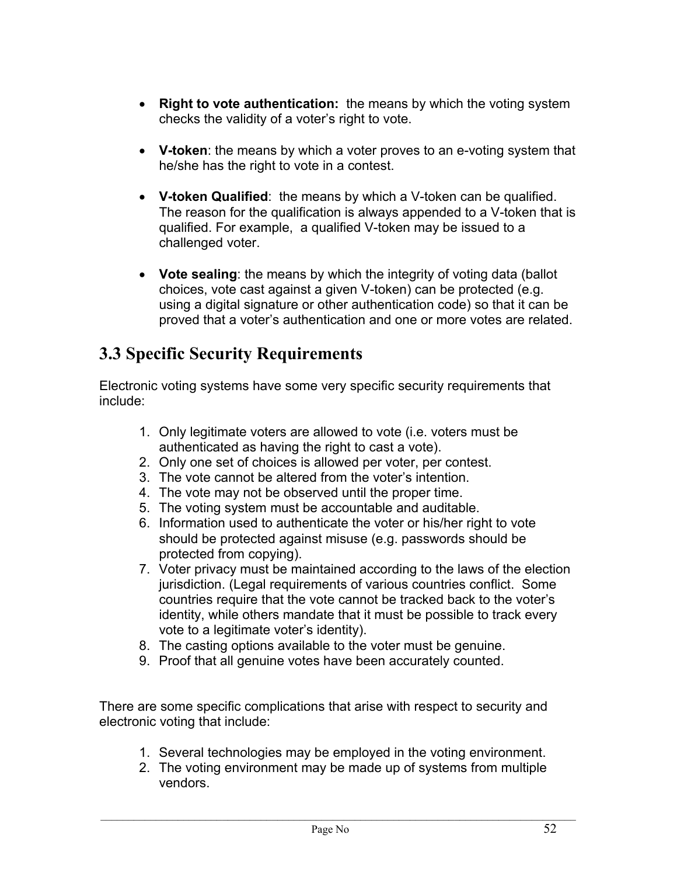- **Right to vote authentication:** the means by which the voting system checks the validity of a voter's right to vote.
- **V-token**: the means by which a voter proves to an e-voting system that he/she has the right to vote in a contest.
- **V-token Qualified**: the means by which a V-token can be qualified. The reason for the qualification is always appended to a V-token that is qualified. For example, a qualified V-token may be issued to a challenged voter.
- **Vote sealing**: the means by which the integrity of voting data (ballot choices, vote cast against a given V-token) can be protected (e.g. using a digital signature or other authentication code) so that it can be proved that a voter's authentication and one or more votes are related.

## **3.3 Specific Security Requirements**

Electronic voting systems have some very specific security requirements that include:

- 1. Only legitimate voters are allowed to vote (i.e. voters must be authenticated as having the right to cast a vote).
- 2. Only one set of choices is allowed per voter, per contest.
- 3. The vote cannot be altered from the voter's intention.
- 4. The vote may not be observed until the proper time.
- 5. The voting system must be accountable and auditable.
- 6. Information used to authenticate the voter or his/her right to vote should be protected against misuse (e.g. passwords should be protected from copying).
- 7. Voter privacy must be maintained according to the laws of the election jurisdiction. (Legal requirements of various countries conflict. Some countries require that the vote cannot be tracked back to the voter's identity, while others mandate that it must be possible to track every vote to a legitimate voter's identity).
- 8. The casting options available to the voter must be genuine.
- 9. Proof that all genuine votes have been accurately counted.

There are some specific complications that arise with respect to security and electronic voting that include:

- 1. Several technologies may be employed in the voting environment.
- 2. The voting environment may be made up of systems from multiple vendors.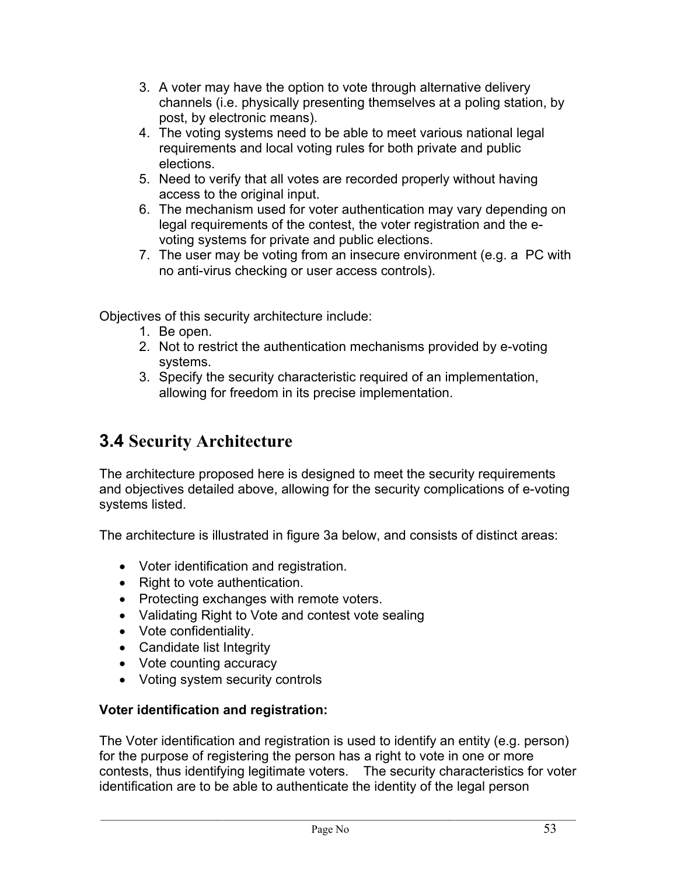- 3. A voter may have the option to vote through alternative delivery channels (i.e. physically presenting themselves at a poling station, by post, by electronic means).
- 4. The voting systems need to be able to meet various national legal requirements and local voting rules for both private and public elections.
- 5. Need to verify that all votes are recorded properly without having access to the original input.
- 6. The mechanism used for voter authentication may vary depending on legal requirements of the contest, the voter registration and the evoting systems for private and public elections.
- 7. The user may be voting from an insecure environment (e.g. a PC with no anti-virus checking or user access controls).

Objectives of this security architecture include:

- 1. Be open.
- 2. Not to restrict the authentication mechanisms provided by e-voting systems.
- 3. Specify the security characteristic required of an implementation, allowing for freedom in its precise implementation.

## **3.4 Security Architecture**

The architecture proposed here is designed to meet the security requirements and objectives detailed above, allowing for the security complications of e-voting systems listed.

The architecture is illustrated in figure 3a below, and consists of distinct areas:

- Voter identification and registration.
- Right to vote authentication.
- Protecting exchanges with remote voters.
- Validating Right to Vote and contest vote sealing
- Vote confidentiality.
- Candidate list Integrity
- Vote counting accuracy
- Voting system security controls

## **Voter identification and registration:**

The Voter identification and registration is used to identify an entity (e.g. person) for the purpose of registering the person has a right to vote in one or more contests, thus identifying legitimate voters. The security characteristics for voter identification are to be able to authenticate the identity of the legal person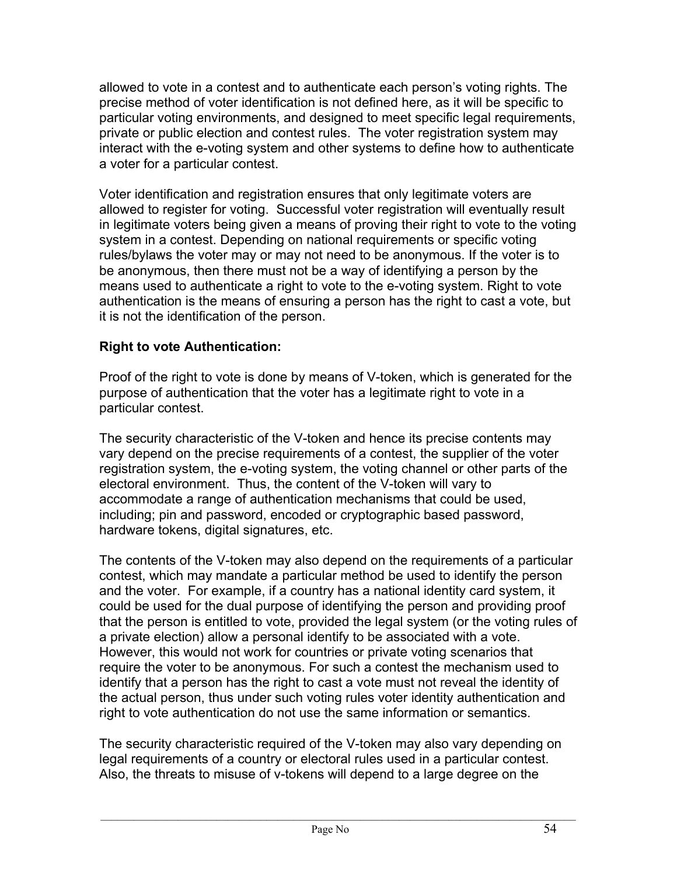allowed to vote in a contest and to authenticate each person's voting rights. The precise method of voter identification is not defined here, as it will be specific to particular voting environments, and designed to meet specific legal requirements, private or public election and contest rules. The voter registration system may interact with the e-voting system and other systems to define how to authenticate a voter for a particular contest.

Voter identification and registration ensures that only legitimate voters are allowed to register for voting. Successful voter registration will eventually result in legitimate voters being given a means of proving their right to vote to the voting system in a contest. Depending on national requirements or specific voting rules/bylaws the voter may or may not need to be anonymous. If the voter is to be anonymous, then there must not be a way of identifying a person by the means used to authenticate a right to vote to the e-voting system. Right to vote authentication is the means of ensuring a person has the right to cast a vote, but it is not the identification of the person.

### **Right to vote Authentication:**

Proof of the right to vote is done by means of V-token, which is generated for the purpose of authentication that the voter has a legitimate right to vote in a particular contest.

The security characteristic of the V-token and hence its precise contents may vary depend on the precise requirements of a contest, the supplier of the voter registration system, the e-voting system, the voting channel or other parts of the electoral environment. Thus, the content of the V-token will vary to accommodate a range of authentication mechanisms that could be used, including; pin and password, encoded or cryptographic based password, hardware tokens, digital signatures, etc.

The contents of the V-token may also depend on the requirements of a particular contest, which may mandate a particular method be used to identify the person and the voter. For example, if a country has a national identity card system, it could be used for the dual purpose of identifying the person and providing proof that the person is entitled to vote, provided the legal system (or the voting rules of a private election) allow a personal identify to be associated with a vote. However, this would not work for countries or private voting scenarios that require the voter to be anonymous. For such a contest the mechanism used to identify that a person has the right to cast a vote must not reveal the identity of the actual person, thus under such voting rules voter identity authentication and right to vote authentication do not use the same information or semantics.

The security characteristic required of the V-token may also vary depending on legal requirements of a country or electoral rules used in a particular contest. Also, the threats to misuse of v-tokens will depend to a large degree on the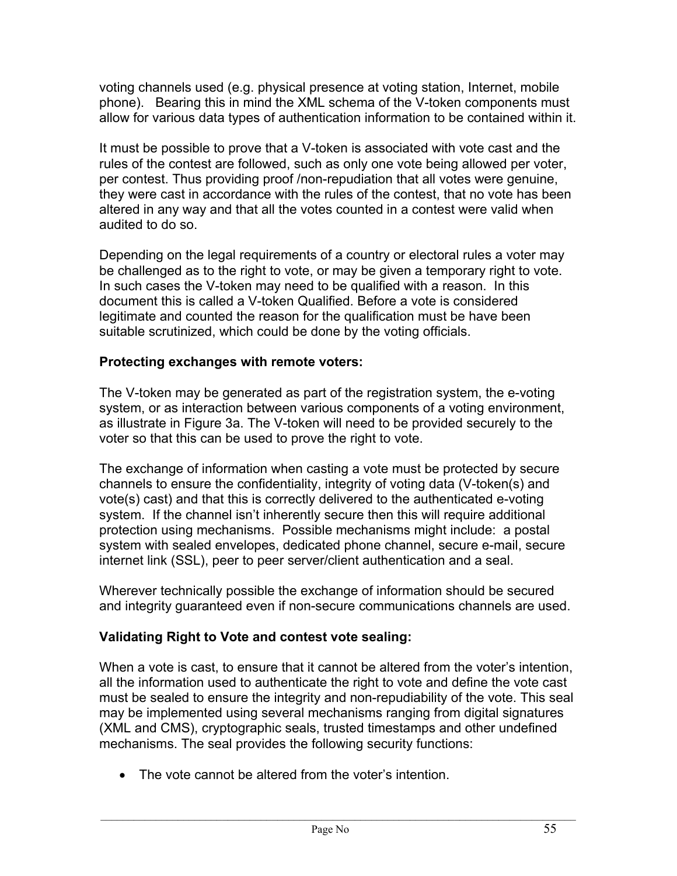voting channels used (e.g. physical presence at voting station, Internet, mobile phone). Bearing this in mind the XML schema of the V-token components must allow for various data types of authentication information to be contained within it.

It must be possible to prove that a V-token is associated with vote cast and the rules of the contest are followed, such as only one vote being allowed per voter, per contest. Thus providing proof /non-repudiation that all votes were genuine, they were cast in accordance with the rules of the contest, that no vote has been altered in any way and that all the votes counted in a contest were valid when audited to do so.

Depending on the legal requirements of a country or electoral rules a voter may be challenged as to the right to vote, or may be given a temporary right to vote. In such cases the V-token may need to be qualified with a reason. In this document this is called a V-token Qualified. Before a vote is considered legitimate and counted the reason for the qualification must be have been suitable scrutinized, which could be done by the voting officials.

### **Protecting exchanges with remote voters:**

The V-token may be generated as part of the registration system, the e-voting system, or as interaction between various components of a voting environment, as illustrate in Figure 3a. The V-token will need to be provided securely to the voter so that this can be used to prove the right to vote.

The exchange of information when casting a vote must be protected by secure channels to ensure the confidentiality, integrity of voting data (V-token(s) and vote(s) cast) and that this is correctly delivered to the authenticated e-voting system. If the channel isn't inherently secure then this will require additional protection using mechanisms. Possible mechanisms might include: a postal system with sealed envelopes, dedicated phone channel, secure e-mail, secure internet link (SSL), peer to peer server/client authentication and a seal.

Wherever technically possible the exchange of information should be secured and integrity guaranteed even if non-secure communications channels are used.

## **Validating Right to Vote and contest vote sealing:**

When a vote is cast, to ensure that it cannot be altered from the voter's intention, all the information used to authenticate the right to vote and define the vote cast must be sealed to ensure the integrity and non-repudiability of the vote. This seal may be implemented using several mechanisms ranging from digital signatures (XML and CMS), cryptographic seals, trusted timestamps and other undefined mechanisms. The seal provides the following security functions:

• The vote cannot be altered from the voter's intention.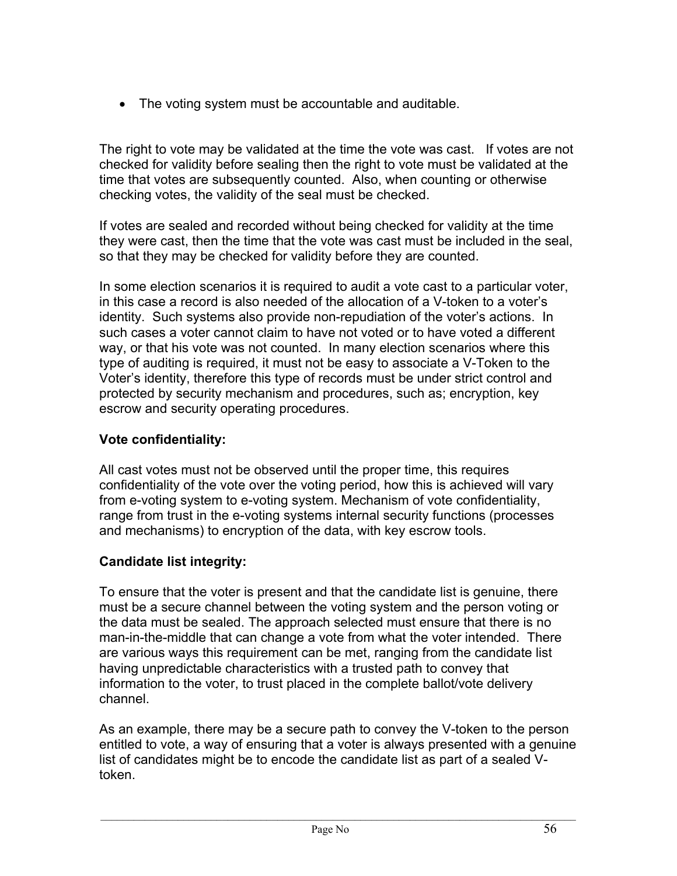• The voting system must be accountable and auditable.

The right to vote may be validated at the time the vote was cast. If votes are not checked for validity before sealing then the right to vote must be validated at the time that votes are subsequently counted. Also, when counting or otherwise checking votes, the validity of the seal must be checked.

If votes are sealed and recorded without being checked for validity at the time they were cast, then the time that the vote was cast must be included in the seal, so that they may be checked for validity before they are counted.

In some election scenarios it is required to audit a vote cast to a particular voter, in this case a record is also needed of the allocation of a V-token to a voter's identity. Such systems also provide non-repudiation of the voter's actions. In such cases a voter cannot claim to have not voted or to have voted a different way, or that his vote was not counted. In many election scenarios where this type of auditing is required, it must not be easy to associate a V-Token to the Voter's identity, therefore this type of records must be under strict control and protected by security mechanism and procedures, such as; encryption, key escrow and security operating procedures.

### **Vote confidentiality:**

All cast votes must not be observed until the proper time, this requires confidentiality of the vote over the voting period, how this is achieved will vary from e-voting system to e-voting system. Mechanism of vote confidentiality, range from trust in the e-voting systems internal security functions (processes and mechanisms) to encryption of the data, with key escrow tools.

### **Candidate list integrity:**

To ensure that the voter is present and that the candidate list is genuine, there must be a secure channel between the voting system and the person voting or the data must be sealed. The approach selected must ensure that there is no man-in-the-middle that can change a vote from what the voter intended. There are various ways this requirement can be met, ranging from the candidate list having unpredictable characteristics with a trusted path to convey that information to the voter, to trust placed in the complete ballot/vote delivery channel.

As an example, there may be a secure path to convey the V-token to the person entitled to vote, a way of ensuring that a voter is always presented with a genuine list of candidates might be to encode the candidate list as part of a sealed Vtoken.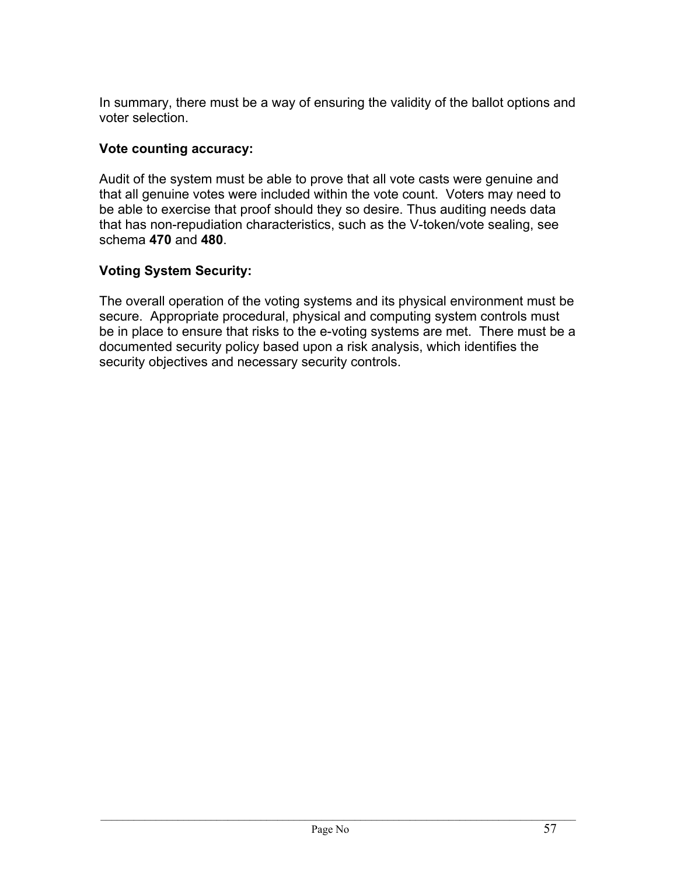In summary, there must be a way of ensuring the validity of the ballot options and voter selection.

### **Vote counting accuracy:**

Audit of the system must be able to prove that all vote casts were genuine and that all genuine votes were included within the vote count. Voters may need to be able to exercise that proof should they so desire. Thus auditing needs data that has non-repudiation characteristics, such as the V-token/vote sealing, see schema **470** and **480**.

### **Voting System Security:**

The overall operation of the voting systems and its physical environment must be secure. Appropriate procedural, physical and computing system controls must be in place to ensure that risks to the e-voting systems are met. There must be a documented security policy based upon a risk analysis, which identifies the security objectives and necessary security controls.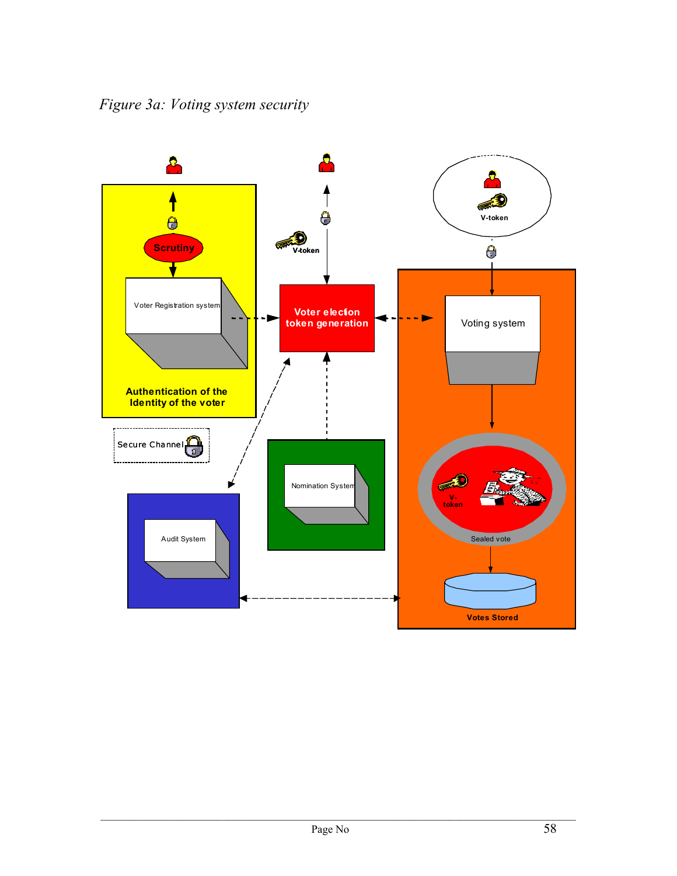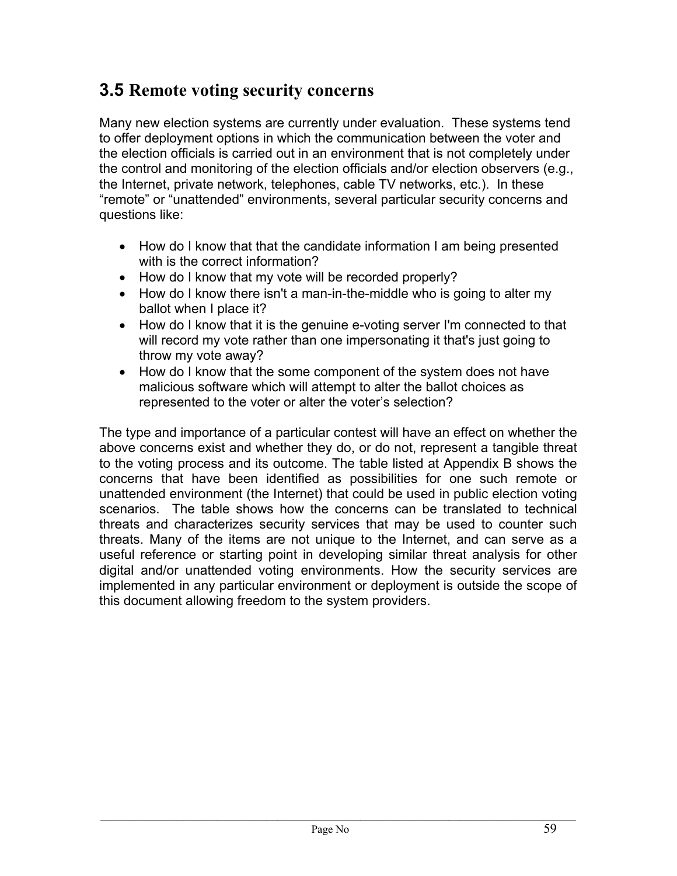## **3.5 Remote voting security concerns**

Many new election systems are currently under evaluation. These systems tend to offer deployment options in which the communication between the voter and the election officials is carried out in an environment that is not completely under the control and monitoring of the election officials and/or election observers (e.g., the Internet, private network, telephones, cable TV networks, etc.). In these "remote" or "unattended" environments, several particular security concerns and questions like:

- How do I know that that the candidate information I am being presented with is the correct information?
- How do I know that my vote will be recorded properly?
- How do I know there isn't a man-in-the-middle who is going to alter my ballot when I place it?
- How do I know that it is the genuine e-voting server I'm connected to that will record my vote rather than one impersonating it that's just going to throw my vote away?
- How do I know that the some component of the system does not have malicious software which will attempt to alter the ballot choices as represented to the voter or alter the voter's selection?

The type and importance of a particular contest will have an effect on whether the above concerns exist and whether they do, or do not, represent a tangible threat to the voting process and its outcome. The table listed at Appendix B shows the concerns that have been identified as possibilities for one such remote or unattended environment (the Internet) that could be used in public election voting scenarios. The table shows how the concerns can be translated to technical threats and characterizes security services that may be used to counter such threats. Many of the items are not unique to the Internet, and can serve as a useful reference or starting point in developing similar threat analysis for other digital and/or unattended voting environments. How the security services are implemented in any particular environment or deployment is outside the scope of this document allowing freedom to the system providers.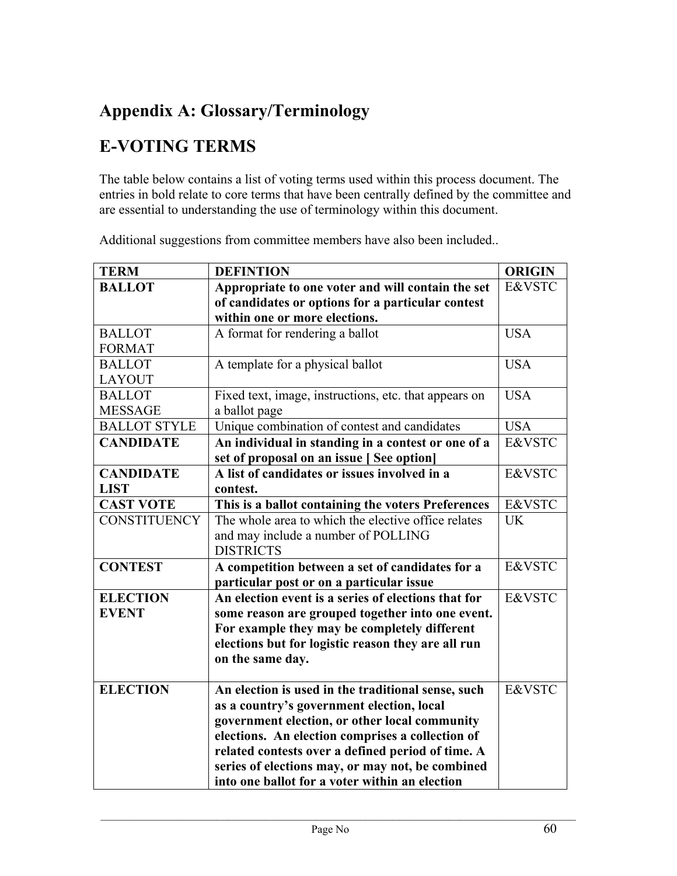## **Appendix A: Glossary/Terminology**

## **E-VOTING TERMS**

The table below contains a list of voting terms used within this process document. The entries in bold relate to core terms that have been centrally defined by the committee and are essential to understanding the use of terminology within this document.

| <b>TERM</b>         | <b>DEFINTION</b>                                      | <b>ORIGIN</b>     |
|---------------------|-------------------------------------------------------|-------------------|
| <b>BALLOT</b>       | Appropriate to one voter and will contain the set     | <b>E&amp;VSTC</b> |
|                     | of candidates or options for a particular contest     |                   |
|                     | within one or more elections.                         |                   |
| <b>BALLOT</b>       | A format for rendering a ballot                       | <b>USA</b>        |
| <b>FORMAT</b>       |                                                       |                   |
| <b>BALLOT</b>       | A template for a physical ballot                      | <b>USA</b>        |
| <b>LAYOUT</b>       |                                                       |                   |
| <b>BALLOT</b>       | Fixed text, image, instructions, etc. that appears on | <b>USA</b>        |
| <b>MESSAGE</b>      | a ballot page                                         |                   |
| <b>BALLOT STYLE</b> | Unique combination of contest and candidates          | <b>USA</b>        |
| <b>CANDIDATE</b>    | An individual in standing in a contest or one of a    | <b>E&amp;VSTC</b> |
|                     | set of proposal on an issue [See option]              |                   |
| <b>CANDIDATE</b>    | A list of candidates or issues involved in a          | <b>E&amp;VSTC</b> |
| <b>LIST</b>         | contest.                                              |                   |
| <b>CAST VOTE</b>    | This is a ballot containing the voters Preferences    | <b>E&amp;VSTC</b> |
| <b>CONSTITUENCY</b> | The whole area to which the elective office relates   | <b>UK</b>         |
|                     | and may include a number of POLLING                   |                   |
|                     | <b>DISTRICTS</b>                                      |                   |
| <b>CONTEST</b>      | A competition between a set of candidates for a       | <b>E&amp;VSTC</b> |
|                     | particular post or on a particular issue              |                   |
| <b>ELECTION</b>     | An election event is a series of elections that for   | <b>E&amp;VSTC</b> |
| <b>EVENT</b>        | some reason are grouped together into one event.      |                   |
|                     | For example they may be completely different          |                   |
|                     | elections but for logistic reason they are all run    |                   |
|                     | on the same day.                                      |                   |
|                     |                                                       |                   |
| <b>ELECTION</b>     | An election is used in the traditional sense, such    | <b>E&amp;VSTC</b> |
|                     | as a country's government election, local             |                   |
|                     | government election, or other local community         |                   |
|                     | elections. An election comprises a collection of      |                   |
|                     | related contests over a defined period of time. A     |                   |
|                     | series of elections may, or may not, be combined      |                   |
|                     | into one ballot for a voter within an election        |                   |

Additional suggestions from committee members have also been included..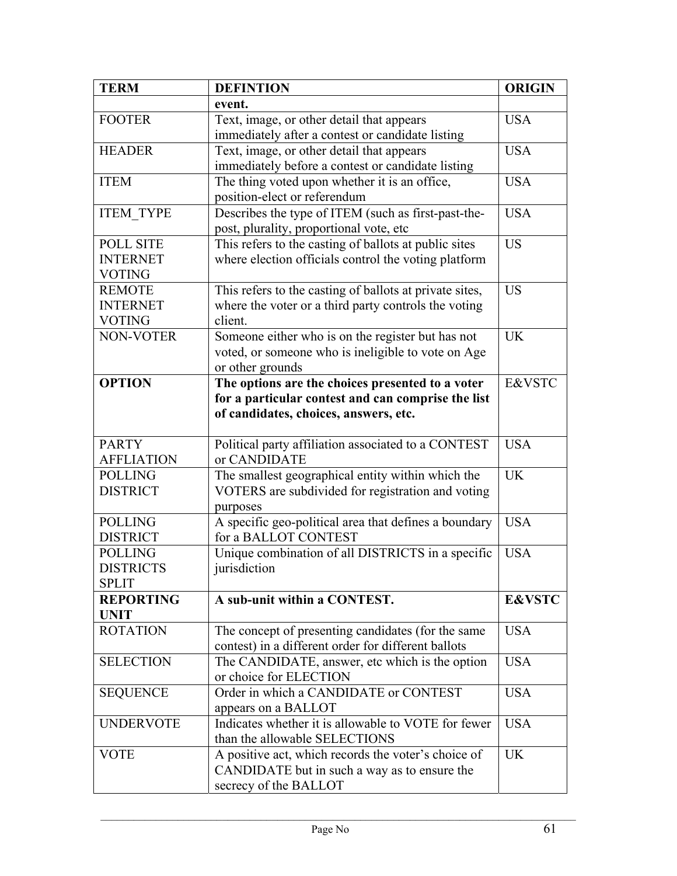| <b>TERM</b>       | <b>DEFINTION</b>                                                    | <b>ORIGIN</b>     |
|-------------------|---------------------------------------------------------------------|-------------------|
|                   | event.                                                              |                   |
| <b>FOOTER</b>     | Text, image, or other detail that appears                           | <b>USA</b>        |
|                   | immediately after a contest or candidate listing                    |                   |
| <b>HEADER</b>     | Text, image, or other detail that appears                           | <b>USA</b>        |
|                   | immediately before a contest or candidate listing                   |                   |
| <b>ITEM</b>       | The thing voted upon whether it is an office,                       | <b>USA</b>        |
|                   | position-elect or referendum                                        |                   |
| <b>ITEM TYPE</b>  | Describes the type of ITEM (such as first-past-the-                 | <b>USA</b>        |
|                   | post, plurality, proportional vote, etc                             |                   |
| <b>POLL SITE</b>  | This refers to the casting of ballots at public sites               | <b>US</b>         |
| <b>INTERNET</b>   | where election officials control the voting platform                |                   |
| <b>VOTING</b>     |                                                                     |                   |
| <b>REMOTE</b>     | This refers to the casting of ballots at private sites,             | <b>US</b>         |
| <b>INTERNET</b>   | where the voter or a third party controls the voting                |                   |
| <b>VOTING</b>     | client.                                                             |                   |
| <b>NON-VOTER</b>  | Someone either who is on the register but has not                   | <b>UK</b>         |
|                   | voted, or someone who is ineligible to vote on Age                  |                   |
|                   | or other grounds                                                    |                   |
| <b>OPTION</b>     | The options are the choices presented to a voter                    | <b>E&amp;VSTC</b> |
|                   | for a particular contest and can comprise the list                  |                   |
|                   | of candidates, choices, answers, etc.                               |                   |
| <b>PARTY</b>      |                                                                     | <b>USA</b>        |
| <b>AFFLIATION</b> | Political party affiliation associated to a CONTEST<br>or CANDIDATE |                   |
| <b>POLLING</b>    | The smallest geographical entity within which the                   | <b>UK</b>         |
| <b>DISTRICT</b>   | VOTERS are subdivided for registration and voting                   |                   |
|                   | purposes                                                            |                   |
| <b>POLLING</b>    | A specific geo-political area that defines a boundary               | <b>USA</b>        |
| <b>DISTRICT</b>   | for a BALLOT CONTEST                                                |                   |
| <b>POLLING</b>    | Unique combination of all DISTRICTS in a specific                   | <b>USA</b>        |
| <b>DISTRICTS</b>  | jurisdiction                                                        |                   |
| <b>SPLIT</b>      |                                                                     |                   |
| <b>REPORTING</b>  | A sub-unit within a CONTEST.                                        | <b>E&amp;VSTC</b> |
| <b>UNIT</b>       |                                                                     |                   |
| <b>ROTATION</b>   | The concept of presenting candidates (for the same                  | <b>USA</b>        |
|                   | contest) in a different order for different ballots                 |                   |
| <b>SELECTION</b>  | The CANDIDATE, answer, etc which is the option                      | <b>USA</b>        |
|                   | or choice for ELECTION                                              |                   |
| <b>SEQUENCE</b>   | Order in which a CANDIDATE or CONTEST                               | <b>USA</b>        |
|                   | appears on a BALLOT                                                 |                   |
| <b>UNDERVOTE</b>  | Indicates whether it is allowable to VOTE for fewer                 | <b>USA</b>        |
|                   | than the allowable SELECTIONS                                       |                   |
| <b>VOTE</b>       | A positive act, which records the voter's choice of                 | <b>UK</b>         |
|                   | CANDIDATE but in such a way as to ensure the                        |                   |
|                   | secrecy of the BALLOT                                               |                   |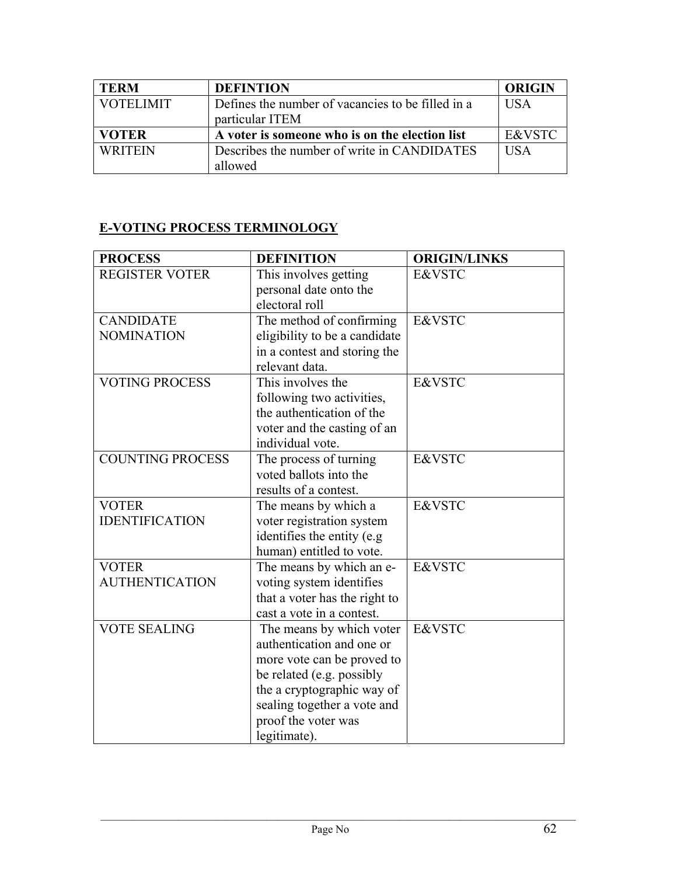| <b>TERM</b>      | <b>DEFINTION</b>                                  | <b>ORIGIN</b> |
|------------------|---------------------------------------------------|---------------|
| <b>VOTELIMIT</b> | Defines the number of vacancies to be filled in a | <b>USA</b>    |
|                  | particular ITEM                                   |               |
| <b>VOTER</b>     | A voter is someone who is on the election list    | E&VSTC        |
| <b>WRITEIN</b>   | Describes the number of write in CANDIDATES       | <b>USA</b>    |
|                  | allowed                                           |               |

## **E-VOTING PROCESS TERMINOLOGY**

| <b>PROCESS</b>          | <b>DEFINITION</b>             | <b>ORIGIN/LINKS</b> |
|-------------------------|-------------------------------|---------------------|
| <b>REGISTER VOTER</b>   | This involves getting         | E&VSTC              |
|                         | personal date onto the        |                     |
|                         | electoral roll                |                     |
| <b>CANDIDATE</b>        | The method of confirming      | <b>E&amp;VSTC</b>   |
| <b>NOMINATION</b>       | eligibility to be a candidate |                     |
|                         | in a contest and storing the  |                     |
|                         | relevant data.                |                     |
| <b>VOTING PROCESS</b>   | This involves the             | <b>E&amp;VSTC</b>   |
|                         | following two activities,     |                     |
|                         | the authentication of the     |                     |
|                         | voter and the casting of an   |                     |
|                         | individual vote.              |                     |
| <b>COUNTING PROCESS</b> | The process of turning        | <b>E&amp;VSTC</b>   |
|                         | voted ballots into the        |                     |
|                         | results of a contest.         |                     |
| <b>VOTER</b>            | The means by which a          | <b>E&amp;VSTC</b>   |
| <b>IDENTIFICATION</b>   | voter registration system     |                     |
|                         | identifies the entity (e.g.   |                     |
|                         | human) entitled to vote.      |                     |
| <b>VOTER</b>            | The means by which an e-      | <b>E&amp;VSTC</b>   |
| <b>AUTHENTICATION</b>   | voting system identifies      |                     |
|                         | that a voter has the right to |                     |
|                         | cast a vote in a contest.     |                     |
| <b>VOTE SEALING</b>     | The means by which voter      | <b>E&amp;VSTC</b>   |
|                         | authentication and one or     |                     |
|                         | more vote can be proved to    |                     |
|                         | be related (e.g. possibly     |                     |
|                         | the a cryptographic way of    |                     |
|                         | sealing together a vote and   |                     |
|                         | proof the voter was           |                     |
|                         | legitimate).                  |                     |

 $\_$  , and the set of the set of the set of the set of the set of the set of the set of the set of the set of the set of the set of the set of the set of the set of the set of the set of the set of the set of the set of th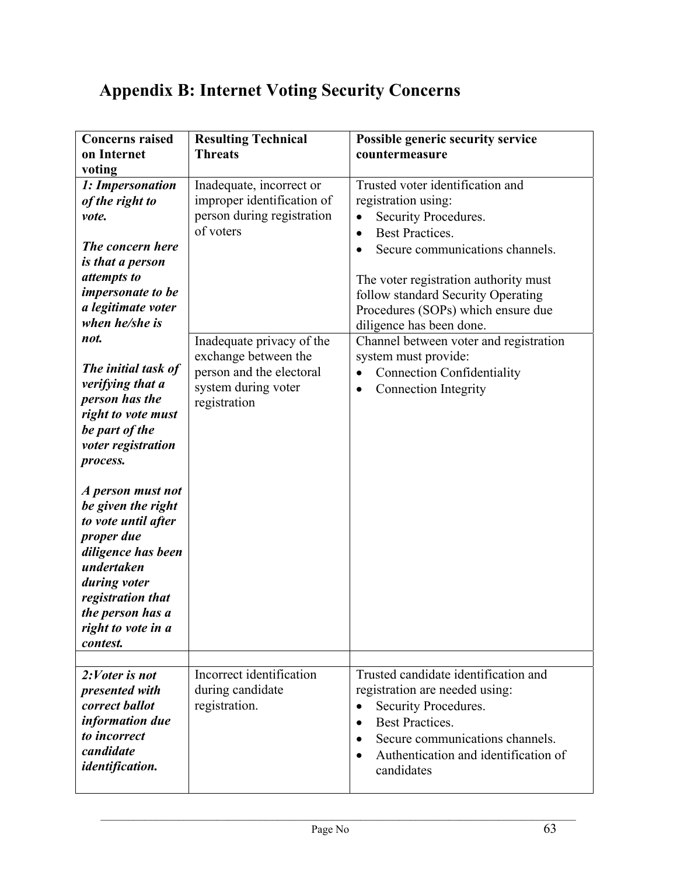## **Appendix B: Internet Voting Security Concerns**

| <b>Concerns raised</b><br>on Internet<br>voting                                                                                                                                                                                                                                                                                                                                                                                                                                                            | <b>Resulting Technical</b><br><b>Threats</b>                                                                                                                                                                              | Possible generic security service<br>countermeasure                                                                                                                                                                                                                                                                                                                                                                                              |
|------------------------------------------------------------------------------------------------------------------------------------------------------------------------------------------------------------------------------------------------------------------------------------------------------------------------------------------------------------------------------------------------------------------------------------------------------------------------------------------------------------|---------------------------------------------------------------------------------------------------------------------------------------------------------------------------------------------------------------------------|--------------------------------------------------------------------------------------------------------------------------------------------------------------------------------------------------------------------------------------------------------------------------------------------------------------------------------------------------------------------------------------------------------------------------------------------------|
| 1: Impersonation<br>of the right to<br>vote.<br>The concern here<br><i>is that a person</i><br>attempts to<br><i>impersonate to be</i><br>a legitimate voter<br>when he/she is<br>not.<br>The initial task of<br>verifying that a<br>person has the<br>right to vote must<br>be part of the<br>voter registration<br>process.<br>A person must not<br>be given the right<br>to vote until after<br>proper due<br>diligence has been<br>undertaken<br>during voter<br>registration that<br>the person has a | Inadequate, incorrect or<br>improper identification of<br>person during registration<br>of voters<br>Inadequate privacy of the<br>exchange between the<br>person and the electoral<br>system during voter<br>registration | Trusted voter identification and<br>registration using:<br>Security Procedures.<br><b>Best Practices.</b><br>$\bullet$<br>Secure communications channels.<br>The voter registration authority must<br>follow standard Security Operating<br>Procedures (SOPs) which ensure due<br>diligence has been done.<br>Channel between voter and registration<br>system must provide:<br><b>Connection Confidentiality</b><br><b>Connection Integrity</b> |
| right to vote in a<br>contest.                                                                                                                                                                                                                                                                                                                                                                                                                                                                             |                                                                                                                                                                                                                           |                                                                                                                                                                                                                                                                                                                                                                                                                                                  |
| $2: V$ oter is not<br>presented with<br>correct ballot<br>information due<br>to incorrect<br>candidate<br><i>identification.</i>                                                                                                                                                                                                                                                                                                                                                                           | Incorrect identification<br>during candidate<br>registration.                                                                                                                                                             | Trusted candidate identification and<br>registration are needed using:<br>Security Procedures.<br>$\bullet$<br><b>Best Practices.</b><br>$\bullet$<br>Secure communications channels.<br>$\bullet$<br>Authentication and identification of<br>candidates                                                                                                                                                                                         |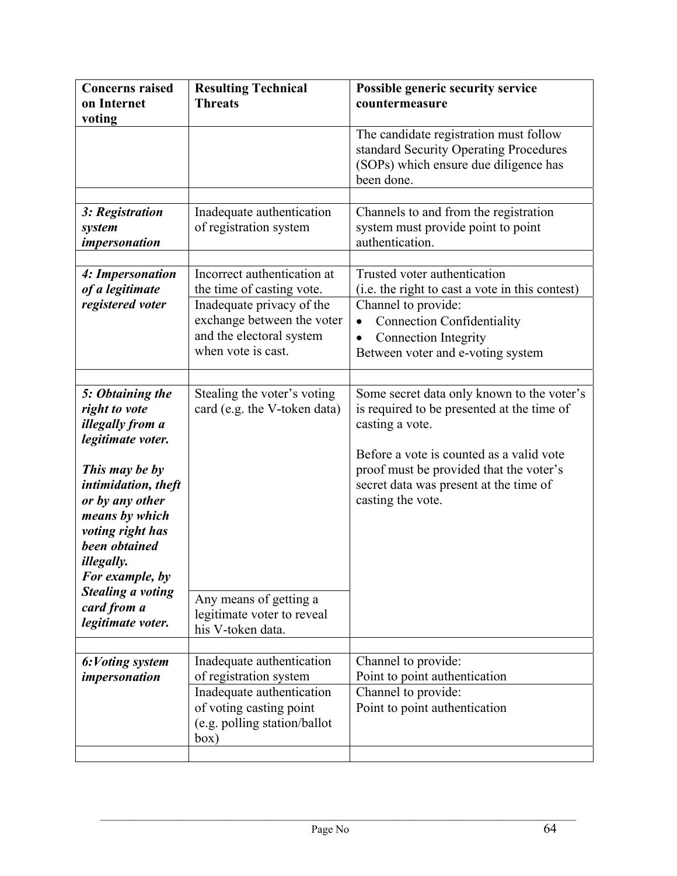| <b>Concerns raised</b>                   | <b>Resulting Technical</b>                             | Possible generic security service                                                                                                       |
|------------------------------------------|--------------------------------------------------------|-----------------------------------------------------------------------------------------------------------------------------------------|
| on Internet                              | <b>Threats</b>                                         | countermeasure                                                                                                                          |
| voting                                   |                                                        | The candidate registration must follow<br>standard Security Operating Procedures<br>(SOPs) which ensure due diligence has<br>been done. |
| 3: Registration                          | Inadequate authentication                              | Channels to and from the registration                                                                                                   |
| system                                   | of registration system                                 | system must provide point to point                                                                                                      |
| <i>impersonation</i>                     |                                                        | authentication.                                                                                                                         |
|                                          |                                                        |                                                                                                                                         |
| 4: Impersonation                         | Incorrect authentication at                            | Trusted voter authentication                                                                                                            |
| of a legitimate                          | the time of casting vote.                              | (i.e. the right to cast a vote in this contest)                                                                                         |
| registered voter                         | Inadequate privacy of the                              | Channel to provide:                                                                                                                     |
|                                          | exchange between the voter<br>and the electoral system | <b>Connection Confidentiality</b><br>$\bullet$                                                                                          |
|                                          | when vote is cast.                                     | Connection Integrity<br>Between voter and e-voting system                                                                               |
|                                          |                                                        |                                                                                                                                         |
|                                          |                                                        |                                                                                                                                         |
| 5: Obtaining the                         | Stealing the voter's voting                            | Some secret data only known to the voter's                                                                                              |
| right to vote<br><i>illegally from a</i> | card (e.g. the V-token data)                           | is required to be presented at the time of<br>casting a vote.                                                                           |
| legitimate voter.                        |                                                        |                                                                                                                                         |
|                                          |                                                        | Before a vote is counted as a valid vote                                                                                                |
| This may be by                           |                                                        | proof must be provided that the voter's                                                                                                 |
| intimidation, theft                      |                                                        | secret data was present at the time of                                                                                                  |
| or by any other                          |                                                        | casting the vote.                                                                                                                       |
| means by which                           |                                                        |                                                                                                                                         |
| voting right has<br>been obtained        |                                                        |                                                                                                                                         |
| <i>illegally.</i>                        |                                                        |                                                                                                                                         |
| For example, by                          |                                                        |                                                                                                                                         |
| <b>Stealing a voting</b>                 |                                                        |                                                                                                                                         |
| card from a                              | Any means of getting a<br>legitimate voter to reveal   |                                                                                                                                         |
| legitimate voter.                        | his V-token data.                                      |                                                                                                                                         |
|                                          |                                                        |                                                                                                                                         |
| 6: Voting system                         | Inadequate authentication                              | Channel to provide:                                                                                                                     |
| impersonation                            | of registration system                                 | Point to point authentication                                                                                                           |
|                                          | Inadequate authentication                              | Channel to provide:                                                                                                                     |
|                                          | of voting casting point                                | Point to point authentication                                                                                                           |
|                                          | (e.g. polling station/ballot<br>box)                   |                                                                                                                                         |
|                                          |                                                        |                                                                                                                                         |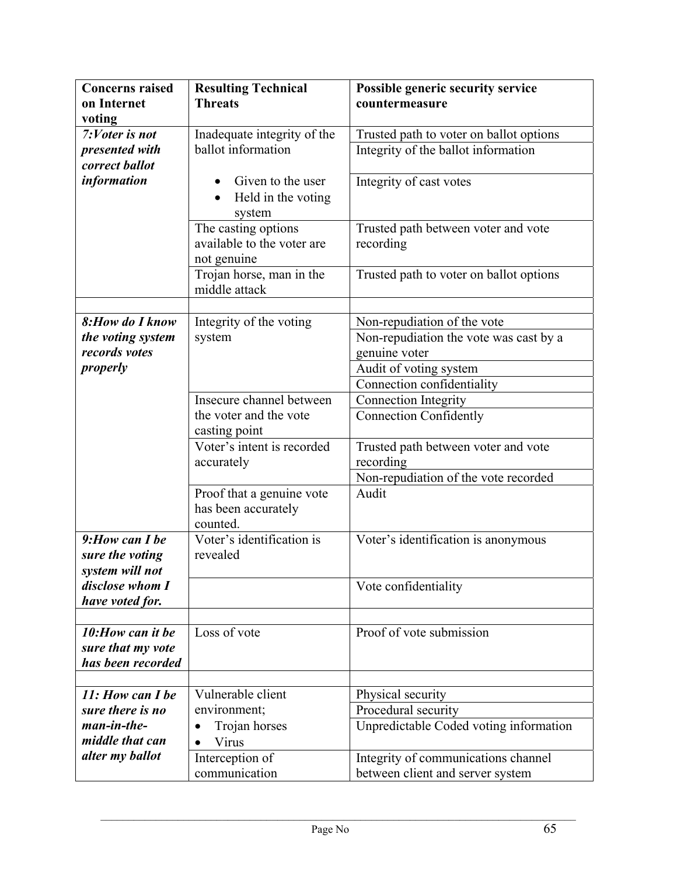| <b>Concerns raised</b>           | <b>Resulting Technical</b>                        | Possible generic security service             |
|----------------------------------|---------------------------------------------------|-----------------------------------------------|
| on Internet                      | <b>Threats</b>                                    | countermeasure                                |
| voting<br>7: Voter is not        |                                                   |                                               |
|                                  | Inadequate integrity of the<br>ballot information | Trusted path to voter on ballot options       |
| presented with<br>correct ballot |                                                   | Integrity of the ballot information           |
| <i>information</i>               | Given to the user                                 | Integrity of cast votes                       |
|                                  | Held in the voting                                |                                               |
|                                  | system                                            |                                               |
|                                  | The casting options                               | Trusted path between voter and vote           |
|                                  | available to the voter are                        | recording                                     |
|                                  | not genuine                                       |                                               |
|                                  | Trojan horse, man in the                          | Trusted path to voter on ballot options       |
|                                  | middle attack                                     |                                               |
|                                  |                                                   |                                               |
| 8:How do I know                  | Integrity of the voting                           | Non-repudiation of the vote                   |
| the voting system                | system                                            | Non-repudiation the vote was cast by a        |
| records votes                    |                                                   | genuine voter                                 |
| properly                         |                                                   | Audit of voting system                        |
|                                  |                                                   | Connection confidentiality                    |
|                                  | Insecure channel between                          | <b>Connection Integrity</b>                   |
|                                  | the voter and the vote                            | <b>Connection Confidently</b>                 |
|                                  | casting point                                     |                                               |
|                                  | Voter's intent is recorded                        | Trusted path between voter and vote           |
|                                  | accurately                                        | recording                                     |
|                                  |                                                   | Non-repudiation of the vote recorded<br>Audit |
|                                  | Proof that a genuine vote<br>has been accurately  |                                               |
|                                  | counted.                                          |                                               |
| 9: How can I be                  | Voter's identification is                         | Voter's identification is anonymous           |
| sure the voting                  | revealed                                          |                                               |
| system will not                  |                                                   |                                               |
| disclose whom I                  |                                                   | Vote confidentiality                          |
| have voted for.                  |                                                   |                                               |
|                                  |                                                   |                                               |
| 10:How can it be                 | Loss of vote                                      | Proof of vote submission                      |
| sure that my vote                |                                                   |                                               |
| has been recorded                |                                                   |                                               |
|                                  |                                                   |                                               |
| 11: How can I be                 | Vulnerable client                                 | Physical security                             |
| sure there is no                 | environment;                                      | Procedural security                           |
| man-in-the-                      | Trojan horses                                     | Unpredictable Coded voting information        |
| middle that can                  | Virus                                             |                                               |
| alter my ballot                  | Interception of                                   | Integrity of communications channel           |
|                                  | communication                                     | between client and server system              |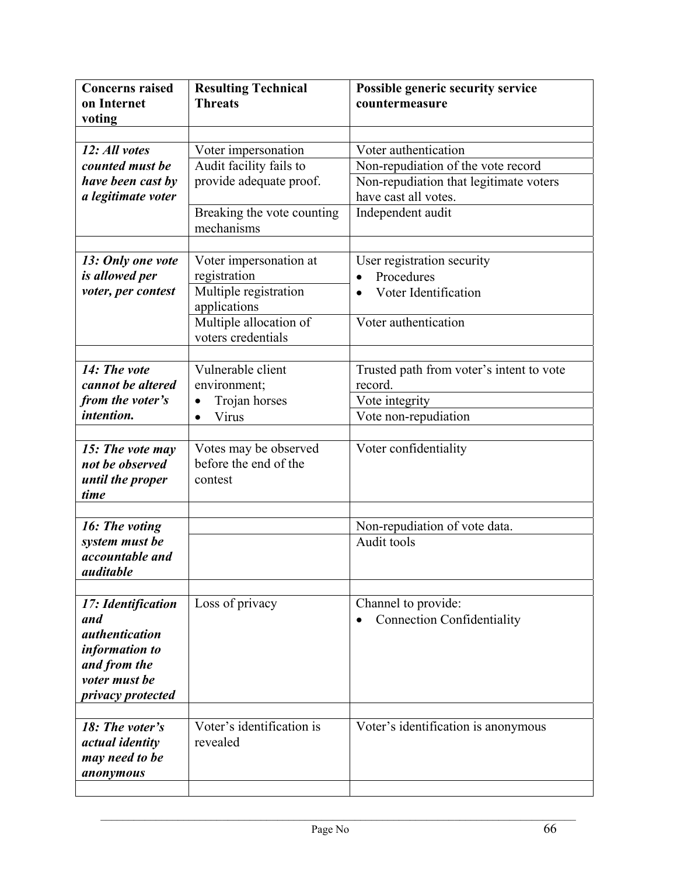| <b>Concerns raised</b><br>on Internet                                                                                      | <b>Resulting Technical</b><br><b>Threats</b>              | Possible generic security service<br>countermeasure      |
|----------------------------------------------------------------------------------------------------------------------------|-----------------------------------------------------------|----------------------------------------------------------|
| voting                                                                                                                     |                                                           |                                                          |
|                                                                                                                            |                                                           |                                                          |
| 12: All votes                                                                                                              | Voter impersonation                                       | Voter authentication                                     |
| counted must be                                                                                                            | Audit facility fails to                                   | Non-repudiation of the vote record                       |
| have been cast by                                                                                                          | provide adequate proof.                                   | Non-repudiation that legitimate voters                   |
| a legitimate voter                                                                                                         |                                                           | have cast all votes.                                     |
|                                                                                                                            | Breaking the vote counting<br>mechanisms                  | Independent audit                                        |
|                                                                                                                            |                                                           |                                                          |
| 13: Only one vote                                                                                                          | Voter impersonation at                                    | User registration security                               |
| is allowed per<br>voter, per contest                                                                                       | registration<br>Multiple registration                     | Procedures                                               |
|                                                                                                                            | applications                                              | Voter Identification                                     |
|                                                                                                                            | Multiple allocation of                                    | Voter authentication                                     |
|                                                                                                                            | voters credentials                                        |                                                          |
| 14: The vote                                                                                                               | Vulnerable client                                         |                                                          |
| cannot be altered                                                                                                          | environment;                                              | Trusted path from voter's intent to vote<br>record.      |
| from the voter's                                                                                                           | Trojan horses                                             | Vote integrity                                           |
| intention.                                                                                                                 | Virus                                                     | Vote non-repudiation                                     |
|                                                                                                                            |                                                           |                                                          |
| 15: The vote may<br>not be observed<br>until the proper<br>time                                                            | Votes may be observed<br>before the end of the<br>contest | Voter confidentiality                                    |
|                                                                                                                            |                                                           |                                                          |
| 16: The voting                                                                                                             |                                                           | Non-repudiation of vote data.                            |
| system must be<br>accountable and<br>auditable                                                                             |                                                           | Audit tools                                              |
|                                                                                                                            |                                                           |                                                          |
| 17: Identification<br>and<br><i>authentication</i><br>information to<br>and from the<br>voter must be<br>privacy protected | Loss of privacy                                           | Channel to provide:<br><b>Connection Confidentiality</b> |
| 18: The voter's                                                                                                            | Voter's identification is                                 |                                                          |
| actual identity<br>may need to be<br>anonymous                                                                             | revealed                                                  | Voter's identification is anonymous                      |